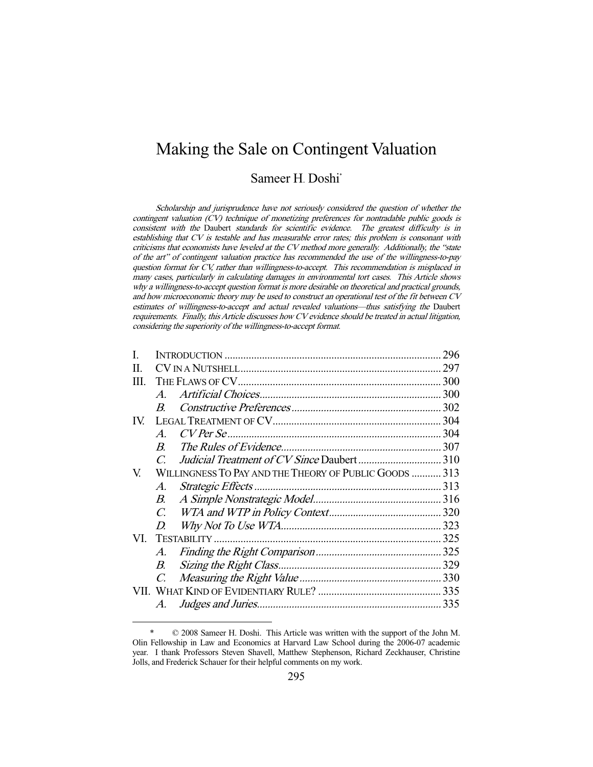# Making the Sale on Contingent Valuation

# Sameer H. Doshi<sup>\*</sup>

Scholarship and jurisprudence have not seriously considered the question of whether the contingent valuation (CV) technique of monetizing preferences for nontradable public goods is consistent with the Daubert standards for scientific evidence. The greatest difficulty is in establishing that CV is testable and has measurable error rates; this problem is consonant with criticisms that economists have leveled at the CV method more generally. Additionally, the "state of the art" of contingent valuation practice has recommended the use of the willingness-to-pay question format for CV, rather than willingness-to-accept. This recommendation is misplaced in many cases, particularly in calculating damages in environmental tort cases. This Article shows why a willingness-to-accept question format is more desirable on theoretical and practical grounds, and how microeconomic theory may be used to construct an operational test of the fit between CV estimates of willingness-to-accept and actual revealed valuations—thus satisfying the Daubert requirements. Finally, this Article discusses how CV evidence should be treated in actual litigation, considering the superiority of the willingness-to-accept format.

| L    |                                                        |  |  |  |
|------|--------------------------------------------------------|--|--|--|
| П.   |                                                        |  |  |  |
| III. |                                                        |  |  |  |
|      | $\mathcal{A}_{\cdot}$                                  |  |  |  |
|      | $\boldsymbol{B}$                                       |  |  |  |
| IV.  |                                                        |  |  |  |
|      | $\mathcal{A}$                                          |  |  |  |
|      | $\boldsymbol{B}$                                       |  |  |  |
|      | $\mathcal{C}$                                          |  |  |  |
| V.   | WILLINGNESS TO PAY AND THE THEORY OF PUBLIC GOODS  313 |  |  |  |
|      | $\mathcal{A}.$                                         |  |  |  |
|      | В.                                                     |  |  |  |
|      | $\mathcal{C}$                                          |  |  |  |
|      | D.                                                     |  |  |  |
| VI.  |                                                        |  |  |  |
|      | A.                                                     |  |  |  |
|      | В.                                                     |  |  |  |
|      | $\mathcal{C}$ .                                        |  |  |  |
|      |                                                        |  |  |  |
|      | A.                                                     |  |  |  |
|      |                                                        |  |  |  |

 <sup>\* © 2008</sup> Sameer H. Doshi. This Article was written with the support of the John M. Olin Fellowship in Law and Economics at Harvard Law School during the 2006-07 academic year. I thank Professors Steven Shavell, Matthew Stephenson, Richard Zeckhauser, Christine Jolls, and Frederick Schauer for their helpful comments on my work.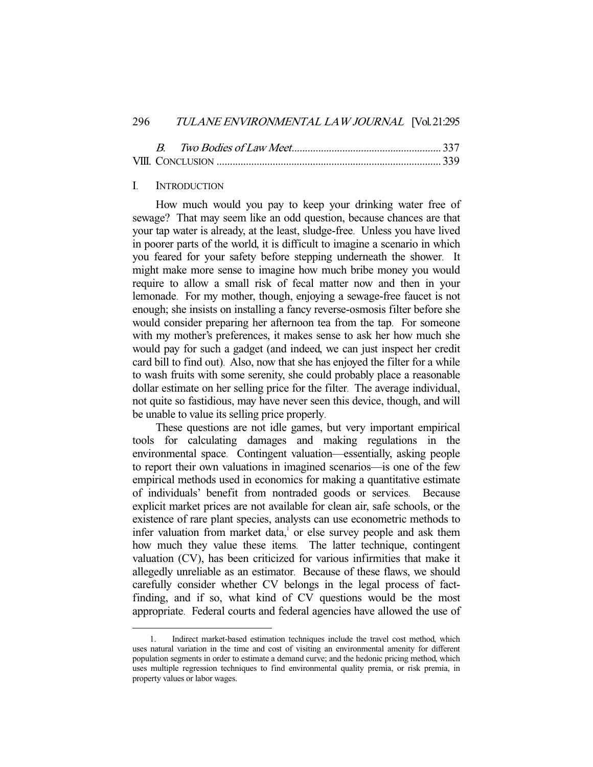## I. INTRODUCTION

-

How much would you pay to keep your drinking water free of sewage? That may seem like an odd question, because chances are that your tap water is already, at the least, sludge-free. Unless you have lived in poorer parts of the world, it is difficult to imagine a scenario in which you feared for your safety before stepping underneath the shower. It might make more sense to imagine how much bribe money you would require to allow a small risk of fecal matter now and then in your lemonade. For my mother, though, enjoying a sewage-free faucet is not enough; she insists on installing a fancy reverse-osmosis filter before she would consider preparing her afternoon tea from the tap. For someone with my mother's preferences, it makes sense to ask her how much she would pay for such a gadget (and indeed, we can just inspect her credit card bill to find out). Also, now that she has enjoyed the filter for a while to wash fruits with some serenity, she could probably place a reasonable dollar estimate on her selling price for the filter. The average individual, not quite so fastidious, may have never seen this device, though, and will be unable to value its selling price properly.

These questions are not idle games, but very important empirical tools for calculating damages and making regulations in the environmental space. Contingent valuation—essentially, asking people to report their own valuations in imagined scenarios—is one of the few empirical methods used in economics for making a quantitative estimate of individuals' benefit from nontraded goods or services. Because explicit market prices are not available for clean air, safe schools, or the existence of rare plant species, analysts can use econometric methods to infer valuation from market data,<sup>1</sup> or else survey people and ask them how much they value these items. The latter technique, contingent valuation (CV), has been criticized for various infirmities that make it allegedly unreliable as an estimator. Because of these flaws, we should carefully consider whether CV belongs in the legal process of factfinding, and if so, what kind of CV questions would be the most appropriate. Federal courts and federal agencies have allowed the use of

 <sup>1.</sup> Indirect market-based estimation techniques include the travel cost method, which uses natural variation in the time and cost of visiting an environmental amenity for different population segments in order to estimate a demand curve; and the hedonic pricing method, which uses multiple regression techniques to find environmental quality premia, or risk premia, in property values or labor wages.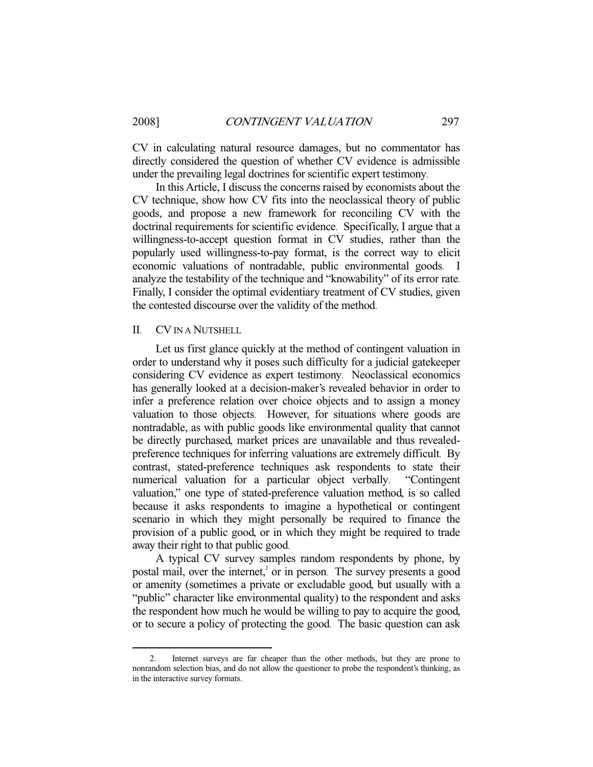CV in calculating natural resource damages, but no commentator has directly considered the question of whether CV evidence is admissible under the prevailing legal doctrines for scientific expert testimony.

In this Article, I discuss the concerns raised by economists about the CV technique, show how CV fits into the neoclassical theory of public goods, and propose a new framework for reconciling CV with the doctrinal requirements for scientific evidence. Specifically, I argue that a willingness-to-accept question format in CV studies, rather than the popularly used willingness-to-pay format, is the correct way to elicit economic valuations of nontradable, public environmental goods. I analyze the testability of the technique and "knowability" of its error rate. Finally, I consider the optimal evidentiary treatment of CV studies, given the contested discourse over the validity of the method.

## II. CV IN A NUTSHELL

-

Let us first glance quickly at the method of contingent valuation in order to understand why it poses such difficulty for a judicial gatekeeper considering CV evidence as expert testimony. Neoclassical economics has generally looked at a decision-maker's revealed behavior in order to infer a preference relation over choice objects and to assign a money valuation to those objects. However, for situations where goods are nontradable, as with public goods like environmental quality that cannot be directly purchased, market prices are unavailable and thus revealedpreference techniques for inferring valuations are extremely difficult. By contrast, stated-preference techniques ask respondents to state their numerical valuation for a particular object verbally. "Contingent valuation," one type of stated-preference valuation method, is so called because it asks respondents to imagine a hypothetical or contingent scenario in which they might personally be required to finance the provision of a public good, or in which they might be required to trade away their right to that public good.

A typical CV survey samples random respondents by phone, by postal mail, over the internet,<sup>2</sup> or in person. The survey presents a good or amenity (sometimes a private or excludable good, but usually with a "public" character like environmental quality) to the respondent and asks the respondent how much he would be willing to pay to acquire the good, or to secure a policy of protecting the good. The basic question can ask

Internet surveys are far cheaper than the other methods, but they are prone to nonrandom selection bias, and do not allow the questioner to probe the respondent's thinking, as in the interactive survey formats.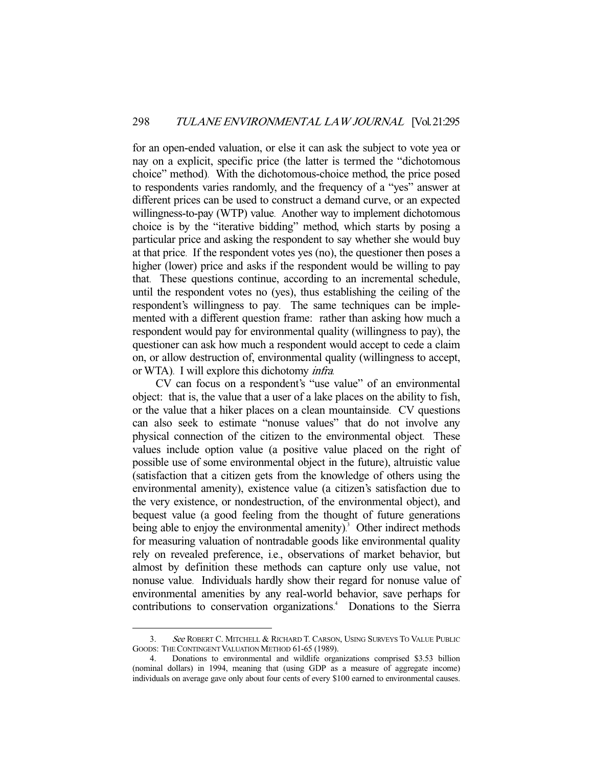for an open-ended valuation, or else it can ask the subject to vote yea or nay on a explicit, specific price (the latter is termed the "dichotomous choice" method). With the dichotomous-choice method, the price posed to respondents varies randomly, and the frequency of a "yes" answer at different prices can be used to construct a demand curve, or an expected willingness-to-pay (WTP) value. Another way to implement dichotomous choice is by the "iterative bidding" method, which starts by posing a particular price and asking the respondent to say whether she would buy at that price. If the respondent votes yes (no), the questioner then poses a higher (lower) price and asks if the respondent would be willing to pay that. These questions continue, according to an incremental schedule, until the respondent votes no (yes), thus establishing the ceiling of the respondent's willingness to pay. The same techniques can be implemented with a different question frame: rather than asking how much a respondent would pay for environmental quality (willingness to pay), the questioner can ask how much a respondent would accept to cede a claim on, or allow destruction of, environmental quality (willingness to accept, or WTA). I will explore this dichotomy infra.

CV can focus on a respondent's "use value" of an environmental object: that is, the value that a user of a lake places on the ability to fish, or the value that a hiker places on a clean mountainside. CV questions can also seek to estimate "nonuse values" that do not involve any physical connection of the citizen to the environmental object. These values include option value (a positive value placed on the right of possible use of some environmental object in the future), altruistic value (satisfaction that a citizen gets from the knowledge of others using the environmental amenity), existence value (a citizen's satisfaction due to the very existence, or nondestruction, of the environmental object), and bequest value (a good feeling from the thought of future generations being able to enjoy the environmental amenity).<sup>3</sup> Other indirect methods for measuring valuation of nontradable goods like environmental quality rely on revealed preference, i.e., observations of market behavior, but almost by definition these methods can capture only use value, not nonuse value. Individuals hardly show their regard for nonuse value of environmental amenities by any real-world behavior, save perhaps for contributions to conservation organizations. 4 Donations to the Sierra

<sup>3.</sup> See ROBERT C. MITCHELL & RICHARD T. CARSON, USING SURVEYS TO VALUE PUBLIC GOODS: THE CONTINGENT VALUATION METHOD 61-65 (1989).

 <sup>4.</sup> Donations to environmental and wildlife organizations comprised \$3.53 billion (nominal dollars) in 1994, meaning that (using GDP as a measure of aggregate income) individuals on average gave only about four cents of every \$100 earned to environmental causes.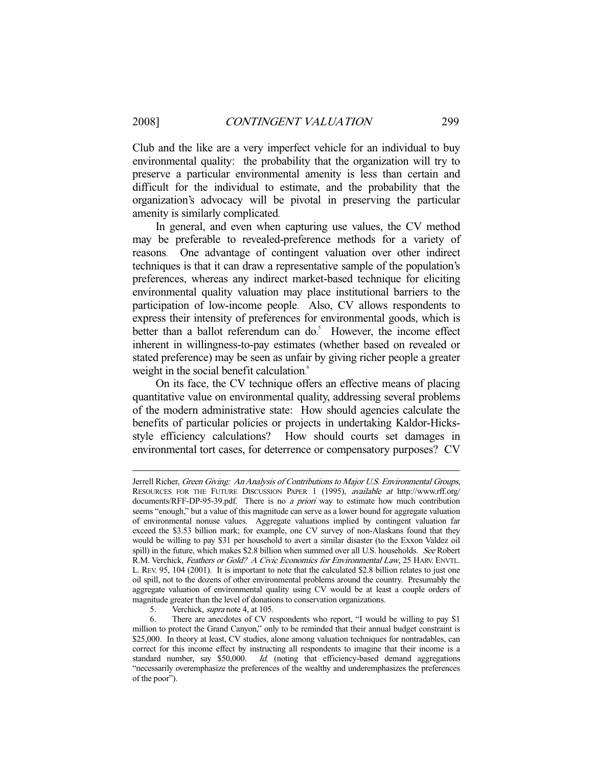-

Club and the like are a very imperfect vehicle for an individual to buy environmental quality: the probability that the organization will try to preserve a particular environmental amenity is less than certain and difficult for the individual to estimate, and the probability that the organization's advocacy will be pivotal in preserving the particular amenity is similarly complicated.

In general, and even when capturing use values, the CV method may be preferable to revealed-preference methods for a variety of reasons. One advantage of contingent valuation over other indirect techniques is that it can draw a representative sample of the population's preferences, whereas any indirect market-based technique for eliciting environmental quality valuation may place institutional barriers to the participation of low-income people. Also, CV allows respondents to express their intensity of preferences for environmental goods, which is better than a ballot referendum can do.<sup>5</sup> However, the income effect inherent in willingness-to-pay estimates (whether based on revealed or stated preference) may be seen as unfair by giving richer people a greater weight in the social benefit calculation.<sup>6</sup>

On its face, the CV technique offers an effective means of placing quantitative value on environmental quality, addressing several problems of the modern administrative state: How should agencies calculate the benefits of particular policies or projects in undertaking Kaldor-Hicksstyle efficiency calculations? How should courts set damages in environmental tort cases, for deterrence or compensatory purposes? CV

Jerrell Richer, Green Giving: An Analysis of Contributions to Major U.S. Environmental Groups, RESOURCES FOR THE FUTURE DISCUSSION PAPER 1 (1995), available at http://www.rff.org/ documents/RFF-DP-95-39.pdf. There is no a priori way to estimate how much contribution seems "enough," but a value of this magnitude can serve as a lower bound for aggregate valuation of environmental nonuse values. Aggregate valuations implied by contingent valuation far exceed the \$3.53 billion mark; for example, one CV survey of non-Alaskans found that they would be willing to pay \$31 per household to avert a similar disaster (to the Exxon Valdez oil spill) in the future, which makes \$2.8 billion when summed over all U.S. households. See Robert R.M. Verchick, Feathers or Gold? A Civic Economics for Environmental Law, 25 HARV. ENVTL. L. REV. 95, 104 (2001). It is important to note that the calculated \$2.8 billion relates to just one oil spill, not to the dozens of other environmental problems around the country. Presumably the aggregate valuation of environmental quality using CV would be at least a couple orders of magnitude greater than the level of donations to conservation organizations.

<sup>5.</sup> Verchick, *supra* note 4, at 105.

 <sup>6.</sup> There are anecdotes of CV respondents who report, "I would be willing to pay \$1 million to protect the Grand Canyon," only to be reminded that their annual budget constraint is \$25,000. In theory at least, CV studies, alone among valuation techniques for nontradables, can correct for this income effect by instructing all respondents to imagine that their income is a standard number, say \$50,000. Id. (noting that efficiency-based demand aggregations "necessarily overemphasize the preferences of the wealthy and underemphasizes the preferences of the poor").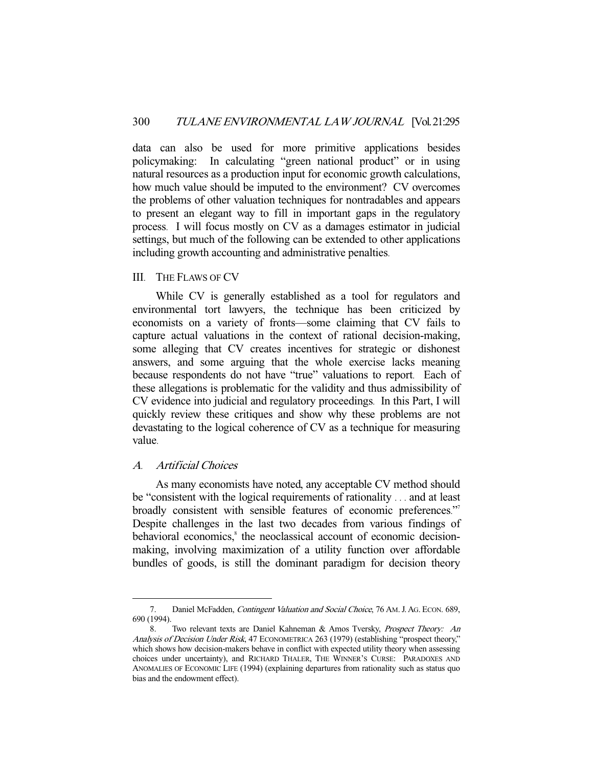data can also be used for more primitive applications besides policymaking: In calculating "green national product" or in using natural resources as a production input for economic growth calculations, how much value should be imputed to the environment? CV overcomes the problems of other valuation techniques for nontradables and appears to present an elegant way to fill in important gaps in the regulatory process. I will focus mostly on CV as a damages estimator in judicial settings, but much of the following can be extended to other applications including growth accounting and administrative penalties.

## III. THE FLAWS OF CV

While CV is generally established as a tool for regulators and environmental tort lawyers, the technique has been criticized by economists on a variety of fronts—some claiming that CV fails to capture actual valuations in the context of rational decision-making, some alleging that CV creates incentives for strategic or dishonest answers, and some arguing that the whole exercise lacks meaning because respondents do not have "true" valuations to report. Each of these allegations is problematic for the validity and thus admissibility of CV evidence into judicial and regulatory proceedings. In this Part, I will quickly review these critiques and show why these problems are not devastating to the logical coherence of CV as a technique for measuring value.

## A. Artificial Choices

-

As many economists have noted, any acceptable CV method should be "consistent with the logical requirements of rationality . . . and at least broadly consistent with sensible features of economic preferences."<sup>7</sup> Despite challenges in the last two decades from various findings of behavioral economics,<sup>8</sup> the neoclassical account of economic decisionmaking, involving maximization of a utility function over affordable bundles of goods, is still the dominant paradigm for decision theory

<sup>7.</sup> Daniel McFadden, Contingent Valuation and Social Choice, 76 AM. J. AG. ECON. 689, 690 (1994).

<sup>8.</sup> Two relevant texts are Daniel Kahneman & Amos Tversky, Prospect Theory: An Analysis of Decision Under Risk, 47 ECONOMETRICA 263 (1979) (establishing "prospect theory," which shows how decision-makers behave in conflict with expected utility theory when assessing choices under uncertainty), and RICHARD THALER, THE WINNER'S CURSE: PARADOXES AND ANOMALIES OF ECONOMIC LIFE (1994) (explaining departures from rationality such as status quo bias and the endowment effect).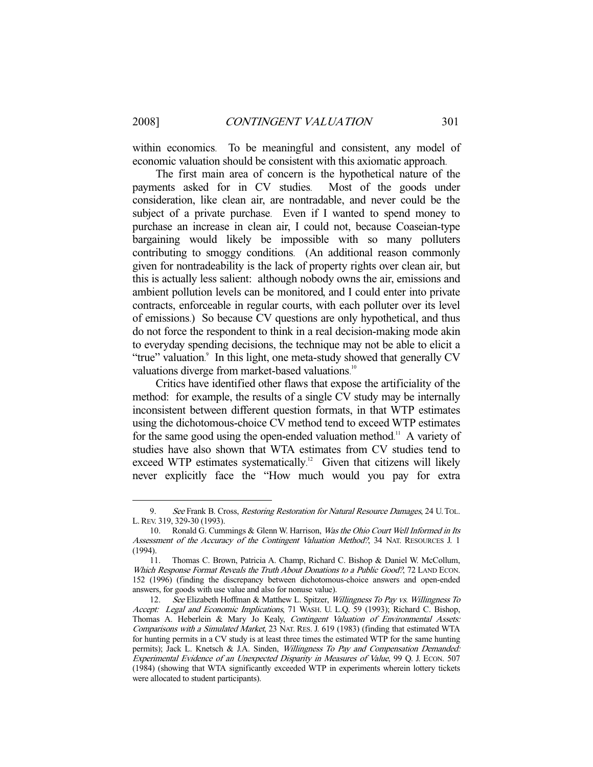-

within economics. To be meaningful and consistent, any model of economic valuation should be consistent with this axiomatic approach.

The first main area of concern is the hypothetical nature of the payments asked for in CV studies. Most of the goods under consideration, like clean air, are nontradable, and never could be the subject of a private purchase. Even if I wanted to spend money to purchase an increase in clean air, I could not, because Coaseian-type bargaining would likely be impossible with so many polluters contributing to smoggy conditions. (An additional reason commonly given for nontradeability is the lack of property rights over clean air, but this is actually less salient: although nobody owns the air, emissions and ambient pollution levels can be monitored, and I could enter into private contracts, enforceable in regular courts, with each polluter over its level of emissions.) So because CV questions are only hypothetical, and thus do not force the respondent to think in a real decision-making mode akin to everyday spending decisions, the technique may not be able to elicit a "true" valuation.<sup>9</sup> In this light, one meta-study showed that generally CV valuations diverge from market-based valuations.<sup>10</sup>

Critics have identified other flaws that expose the artificiality of the method: for example, the results of a single CV study may be internally inconsistent between different question formats, in that WTP estimates using the dichotomous-choice CV method tend to exceed WTP estimates for the same good using the open-ended valuation method.<sup>11</sup> A variety of studies have also shown that WTA estimates from CV studies tend to exceed WTP estimates systematically.<sup>12</sup> Given that citizens will likely never explicitly face the "How much would you pay for extra

<sup>9.</sup> See Frank B. Cross, Restoring Restoration for Natural Resource Damages, 24 U. TOL. L.REV. 319, 329-30 (1993).

<sup>10.</sup> Ronald G. Cummings & Glenn W. Harrison, *Was the Ohio Court Well Informed in Its* Assessment of the Accuracy of the Contingent Valuation Method?, 34 NAT. RESOURCES J. 1 (1994).

 <sup>11.</sup> Thomas C. Brown, Patricia A. Champ, Richard C. Bishop & Daniel W. McCollum, Which Response Format Reveals the Truth About Donations to a Public Good?, 72 LAND ECON. 152 (1996) (finding the discrepancy between dichotomous-choice answers and open-ended answers, for goods with use value and also for nonuse value).

<sup>12.</sup> See Elizabeth Hoffman & Matthew L. Spitzer, Willingness To Pay vs. Willingness To Accept: Legal and Economic Implications, 71 WASH. U. L.Q. 59 (1993); Richard C. Bishop, Thomas A. Heberlein & Mary Jo Kealy, Contingent Valuation of Environmental Assets: Comparisons with a Simulated Market, 23 NAT. RES. J. 619 (1983) (finding that estimated WTA for hunting permits in a CV study is at least three times the estimated WTP for the same hunting permits); Jack L. Knetsch & J.A. Sinden, Willingness To Pay and Compensation Demanded: Experimental Evidence of an Unexpected Disparity in Measures of Value, 99 Q. J. ECON. 507 (1984) (showing that WTA significantly exceeded WTP in experiments wherein lottery tickets were allocated to student participants).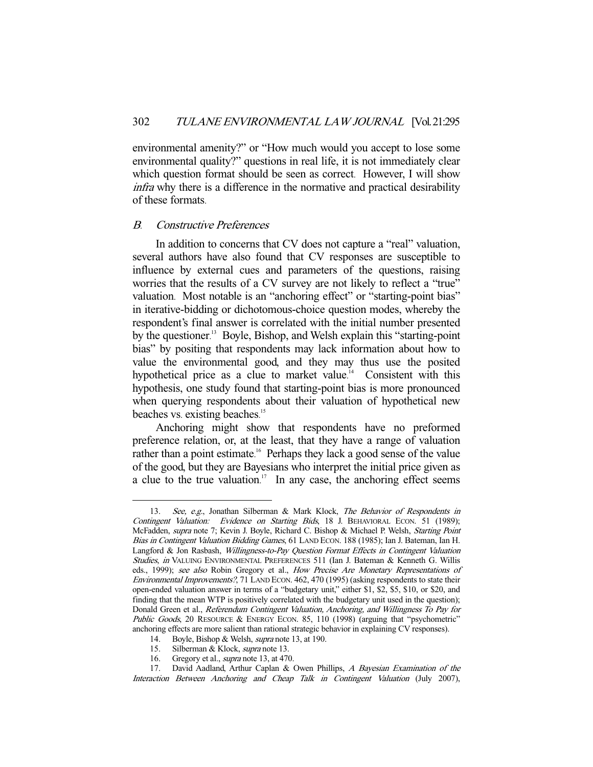environmental amenity?" or "How much would you accept to lose some environmental quality?" questions in real life, it is not immediately clear which question format should be seen as correct. However, I will show infra why there is a difference in the normative and practical desirability of these formats.

#### B. Constructive Preferences

In addition to concerns that CV does not capture a "real" valuation, several authors have also found that CV responses are susceptible to influence by external cues and parameters of the questions, raising worries that the results of a CV survey are not likely to reflect a "true" valuation. Most notable is an "anchoring effect" or "starting-point bias" in iterative-bidding or dichotomous-choice question modes, whereby the respondent's final answer is correlated with the initial number presented by the questioner.<sup>13</sup> Boyle, Bishop, and Welsh explain this "starting-point bias" by positing that respondents may lack information about how to value the environmental good, and they may thus use the posited hypothetical price as a clue to market value.<sup>14</sup> Consistent with this hypothesis, one study found that starting-point bias is more pronounced when querying respondents about their valuation of hypothetical new beaches vs. existing beaches. 15

Anchoring might show that respondents have no preformed preference relation, or, at the least, that they have a range of valuation rather than a point estimate.<sup>16</sup> Perhaps they lack a good sense of the value of the good, but they are Bayesians who interpret the initial price given as a clue to the true valuation.<sup>17</sup> In any case, the anchoring effect seems

<sup>13.</sup> See, e.g., Jonathan Silberman & Mark Klock, The Behavior of Respondents in Contingent Valuation: Evidence on Starting Bids, 18 J. BEHAVIORAL ECON. 51 (1989); McFadden, supra note 7; Kevin J. Boyle, Richard C. Bishop & Michael P. Welsh, Starting Point Bias in Contingent Valuation Bidding Games, 61 LAND ECON. 188 (1985); Ian J. Bateman, Ian H. Langford & Jon Rasbash, Willingness-to-Pay Question Format Effects in Contingent Valuation Studies, in VALUING ENVIRONMENTAL PREFERENCES 511 (Ian J. Bateman & Kenneth G. Willis eds., 1999); see also Robin Gregory et al., How Precise Are Monetary Representations of Environmental Improvements?, 71 LAND ECON. 462, 470 (1995) (asking respondents to state their open-ended valuation answer in terms of a "budgetary unit," either \$1, \$2, \$5, \$10, or \$20, and finding that the mean WTP is positively correlated with the budgetary unit used in the question); Donald Green et al., Referendum Contingent Valuation, Anchoring, and Willingness To Pay for Public Goods, 20 RESOURCE & ENERGY ECON. 85, 110 (1998) (arguing that "psychometric" anchoring effects are more salient than rational strategic behavior in explaining CV responses).

<sup>14.</sup> Boyle, Bishop & Welsh, *supra* note 13, at 190.

<sup>15.</sup> Silberman & Klock, supra note 13.

<sup>16.</sup> Gregory et al., *supra* note 13, at 470.

<sup>17.</sup> David Aadland, Arthur Caplan & Owen Phillips, A Bayesian Examination of the Interaction Between Anchoring and Cheap Talk in Contingent Valuation (July 2007),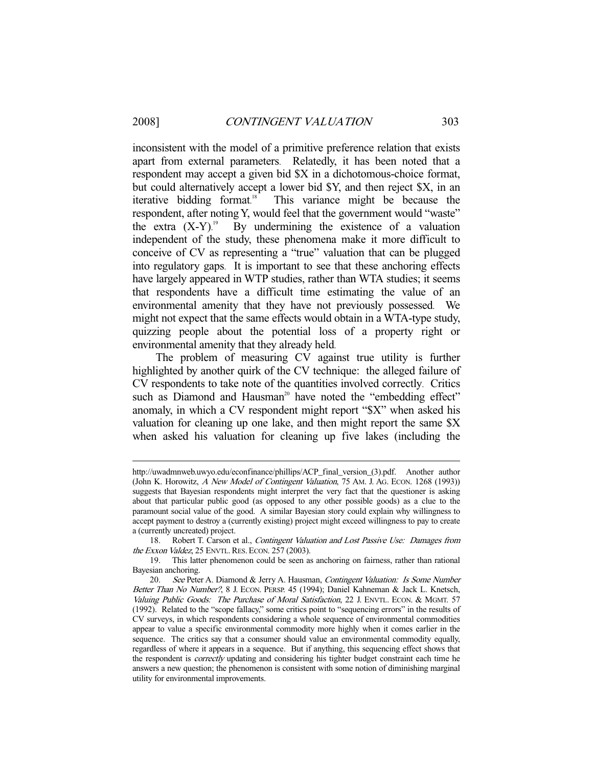-

inconsistent with the model of a primitive preference relation that exists apart from external parameters. Relatedly, it has been noted that a respondent may accept a given bid \$X in a dichotomous-choice format, but could alternatively accept a lower bid \$Y, and then reject \$X, in an iterative bidding format. This variance might be because the respondent, after noting Y, would feel that the government would "waste" the extra  $(X-Y)$ .<sup>19</sup> By undermining the existence of a valuation independent of the study, these phenomena make it more difficult to conceive of CV as representing a "true" valuation that can be plugged into regulatory gaps. It is important to see that these anchoring effects have largely appeared in WTP studies, rather than WTA studies; it seems that respondents have a difficult time estimating the value of an environmental amenity that they have not previously possessed. We might not expect that the same effects would obtain in a WTA-type study, quizzing people about the potential loss of a property right or environmental amenity that they already held.

The problem of measuring CV against true utility is further highlighted by another quirk of the CV technique: the alleged failure of CV respondents to take note of the quantities involved correctly. Critics such as Diamond and Hausman<sup>20</sup> have noted the "embedding effect" anomaly, in which a CV respondent might report "\$X" when asked his valuation for cleaning up one lake, and then might report the same \$X when asked his valuation for cleaning up five lakes (including the

http://uwadmnweb.uwyo.edu/econfinance/phillips/ACP\_final\_version\_(3).pdf. Another author (John K. Horowitz, A New Model of Contingent Valuation, 75 AM. J. AG. ECON. 1268 (1993)) suggests that Bayesian respondents might interpret the very fact that the questioner is asking about that particular public good (as opposed to any other possible goods) as a clue to the paramount social value of the good. A similar Bayesian story could explain why willingness to accept payment to destroy a (currently existing) project might exceed willingness to pay to create a (currently uncreated) project.

 <sup>18.</sup> Robert T. Carson et al., Contingent Valuation and Lost Passive Use: Damages from the Exxon Valdez, 25 ENVTL. RES. ECON. 257 (2003).

 <sup>19.</sup> This latter phenomenon could be seen as anchoring on fairness, rather than rational Bayesian anchoring.

<sup>20.</sup> See Peter A. Diamond & Jerry A. Hausman, Contingent Valuation: Is Some Number Better Than No Number?, 8 J. ECON. PERSP. 45 (1994); Daniel Kahneman & Jack L. Knetsch, Valuing Public Goods: The Purchase of Moral Satisfaction, 22 J. ENVTL. ECON. & MGMT. 57 (1992). Related to the "scope fallacy," some critics point to "sequencing errors" in the results of CV surveys, in which respondents considering a whole sequence of environmental commodities appear to value a specific environmental commodity more highly when it comes earlier in the sequence. The critics say that a consumer should value an environmental commodity equally, regardless of where it appears in a sequence. But if anything, this sequencing effect shows that the respondent is *correctly* updating and considering his tighter budget constraint each time he answers a new question; the phenomenon is consistent with some notion of diminishing marginal utility for environmental improvements.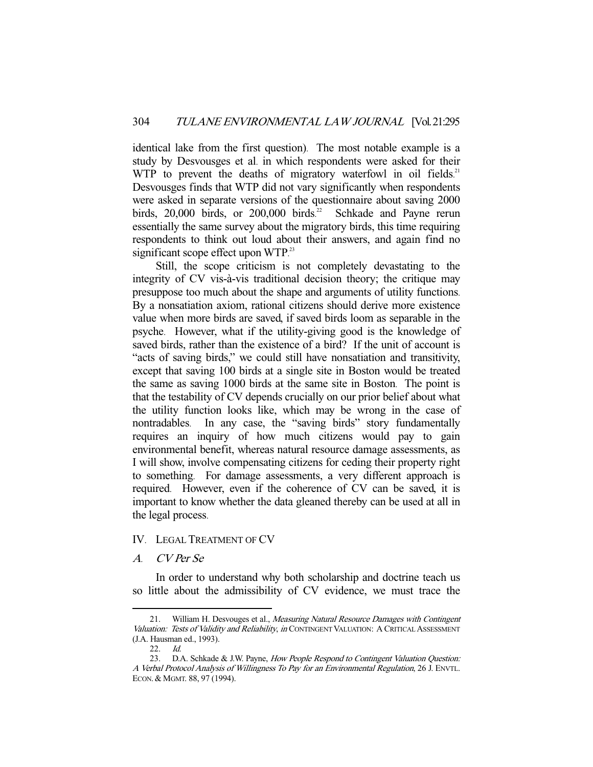identical lake from the first question). The most notable example is a study by Desvousges et al. in which respondents were asked for their WTP to prevent the deaths of migratory waterfowl in oil fields.<sup>21</sup> Desvousges finds that WTP did not vary significantly when respondents were asked in separate versions of the questionnaire about saving 2000 birds, 20,000 birds, or 200,000 birds.<sup>22</sup> Schkade and Payne rerun essentially the same survey about the migratory birds, this time requiring respondents to think out loud about their answers, and again find no significant scope effect upon WTP.<sup>23</sup>

Still, the scope criticism is not completely devastating to the integrity of CV vis-à-vis traditional decision theory; the critique may presuppose too much about the shape and arguments of utility functions. By a nonsatiation axiom, rational citizens should derive more existence value when more birds are saved, if saved birds loom as separable in the psyche. However, what if the utility-giving good is the knowledge of saved birds, rather than the existence of a bird? If the unit of account is "acts of saving birds," we could still have nonsatiation and transitivity, except that saving 100 birds at a single site in Boston would be treated the same as saving 1000 birds at the same site in Boston. The point is that the testability of CV depends crucially on our prior belief about what the utility function looks like, which may be wrong in the case of nontradables. In any case, the "saving birds" story fundamentally requires an inquiry of how much citizens would pay to gain environmental benefit, whereas natural resource damage assessments, as I will show, involve compensating citizens for ceding their property right to something. For damage assessments, a very different approach is required. However, even if the coherence of CV can be saved, it is important to know whether the data gleaned thereby can be used at all in the legal process.

#### IV. LEGAL TREATMENT OF CV

## A. CV Per Se

In order to understand why both scholarship and doctrine teach us so little about the admissibility of CV evidence, we must trace the

<sup>21.</sup> William H. Desvouges et al., Measuring Natural Resource Damages with Contingent Valuation: Tests of Validity and Reliability, in CONTINGENT VALUATION: A CRITICAL ASSESSMENT (J.A. Hausman ed., 1993).

 <sup>22.</sup> Id.

<sup>23.</sup> D.A. Schkade & J.W. Payne, How People Respond to Contingent Valuation Question: A Verbal Protocol Analysis of Willingness To Pay for an Environmental Regulation, 26 J. ENVTL. ECON. & MGMT. 88, 97 (1994).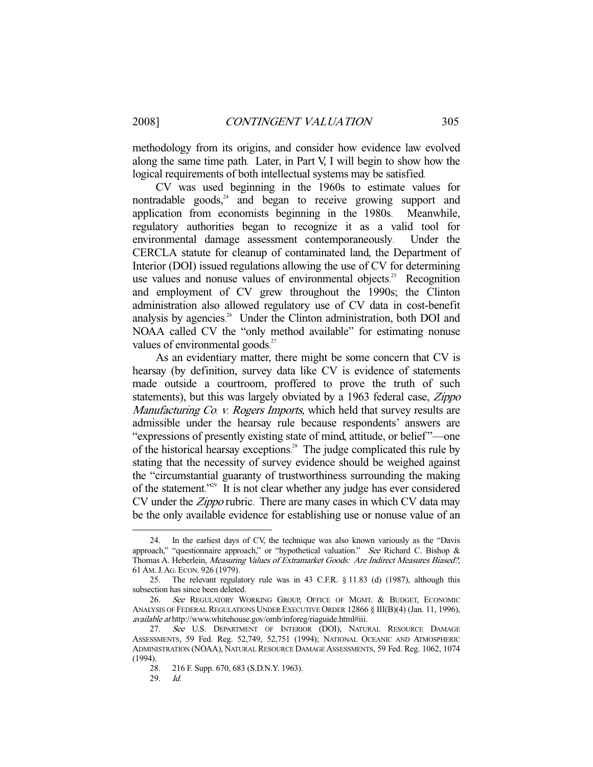methodology from its origins, and consider how evidence law evolved along the same time path. Later, in Part V, I will begin to show how the logical requirements of both intellectual systems may be satisfied.

CV was used beginning in the 1960s to estimate values for nontradable goods, $24$  and began to receive growing support and application from economists beginning in the 1980s. Meanwhile, regulatory authorities began to recognize it as a valid tool for environmental damage assessment contemporaneously. Under the CERCLA statute for cleanup of contaminated land, the Department of Interior (DOI) issued regulations allowing the use of CV for determining use values and nonuse values of environmental objects.<sup>25</sup> Recognition and employment of CV grew throughout the 1990s; the Clinton administration also allowed regulatory use of CV data in cost-benefit analysis by agencies. 26 Under the Clinton administration, both DOI and NOAA called CV the "only method available" for estimating nonuse values of environmental goods.<sup>27</sup>

As an evidentiary matter, there might be some concern that CV is hearsay (by definition, survey data like CV is evidence of statements made outside a courtroom, proffered to prove the truth of such statements), but this was largely obviated by a 1963 federal case, *Zippo* Manufacturing Co. v. Rogers Imports, which held that survey results are admissible under the hearsay rule because respondents' answers are "expressions of presently existing state of mind, attitude, or belief "—one of the historical hearsay exceptions. 28 The judge complicated this rule by stating that the necessity of survey evidence should be weighed against the "circumstantial guaranty of trustworthiness surrounding the making of the statement."<sup>29</sup> It is not clear whether any judge has ever considered CV under the *Zippo* rubric. There are many cases in which CV data may be the only available evidence for establishing use or nonuse value of an

 <sup>24.</sup> In the earliest days of CV, the technique was also known variously as the "Davis approach," "questionnaire approach," or "hypothetical valuation." See Richard C. Bishop & Thomas A. Heberlein, Measuring Values of Extramarket Goods: Are Indirect Measures Biased?, 61 AM.J.AG. ECON. 926 (1979).

 <sup>25.</sup> The relevant regulatory rule was in 43 C.F.R. § 11.83 (d) (1987), although this subsection has since been deleted.

<sup>26.</sup> See REGULATORY WORKING GROUP, OFFICE OF MGMT. & BUDGET, ECONOMIC ANALYSIS OF FEDERAL REGULATIONS UNDER EXECUTIVE ORDER 12866 § III(B)(4) (Jan. 11, 1996), available at http://www.whitehouse.gov/omb/inforeg/riaguide.html#iii.

<sup>27.</sup> See U.S. DEPARTMENT OF INTERIOR (DOI), NATURAL RESOURCE DAMAGE ASSESSMENTS, 59 Fed. Reg. 52,749, 52,751 (1994); NATIONAL OCEANIC AND ATMOSPHERIC ADMINISTRATION (NOAA), NATURAL RESOURCE DAMAGE ASSESSMENTS, 59 Fed. Reg. 1062, 1074 (1994).

 <sup>28. 216</sup> F. Supp. 670, 683 (S.D.N.Y. 1963).

 <sup>29.</sup> Id.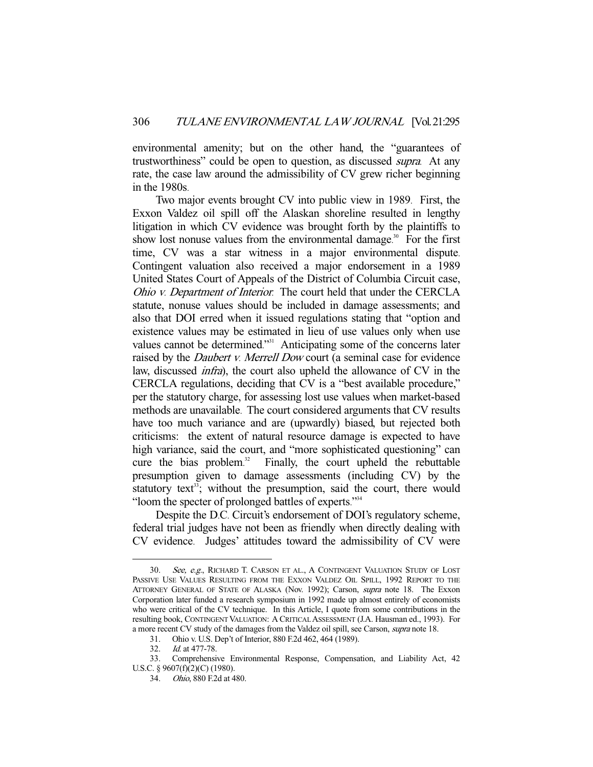environmental amenity; but on the other hand, the "guarantees of trustworthiness" could be open to question, as discussed supra. At any rate, the case law around the admissibility of CV grew richer beginning in the 1980s.

Two major events brought CV into public view in 1989. First, the Exxon Valdez oil spill off the Alaskan shoreline resulted in lengthy litigation in which CV evidence was brought forth by the plaintiffs to show lost nonuse values from the environmental damage.<sup>30</sup> For the first time, CV was a star witness in a major environmental dispute. Contingent valuation also received a major endorsement in a 1989 United States Court of Appeals of the District of Columbia Circuit case, Ohio v. Department of Interior. The court held that under the CERCLA statute, nonuse values should be included in damage assessments; and also that DOI erred when it issued regulations stating that "option and existence values may be estimated in lieu of use values only when use values cannot be determined."<sup>31</sup> Anticipating some of the concerns later raised by the *Daubert v. Merrell Dow* court (a seminal case for evidence law, discussed *infra*), the court also upheld the allowance of CV in the CERCLA regulations, deciding that CV is a "best available procedure," per the statutory charge, for assessing lost use values when market-based methods are unavailable. The court considered arguments that CV results have too much variance and are (upwardly) biased, but rejected both criticisms: the extent of natural resource damage is expected to have high variance, said the court, and "more sophisticated questioning" can cure the bias problem. 32 Finally, the court upheld the rebuttable presumption given to damage assessments (including CV) by the statutory text<sup>33</sup>; without the presumption, said the court, there would "loom the specter of prolonged battles of experts."<sup>34</sup>

Despite the D.C. Circuit's endorsement of DOI's regulatory scheme, federal trial judges have not been as friendly when directly dealing with CV evidence. Judges' attitudes toward the admissibility of CV were

 <sup>30.</sup> See, e.g., RICHARD T. CARSON ET AL., A CONTINGENT VALUATION STUDY OF LOST PASSIVE USE VALUES RESULTING FROM THE EXXON VALDEZ OIL SPILL, 1992 REPORT TO THE ATTORNEY GENERAL OF STATE OF ALASKA (Nov. 1992); Carson, supra note 18. The Exxon Corporation later funded a research symposium in 1992 made up almost entirely of economists who were critical of the CV technique. In this Article, I quote from some contributions in the resulting book, CONTINGENT VALUATION: A CRITICAL ASSESSMENT (J.A. Hausman ed., 1993). For a more recent CV study of the damages from the Valdez oil spill, see Carson, supra note 18.

 <sup>31.</sup> Ohio v. U.S. Dep't of Interior, 880 F.2d 462, 464 (1989).

 <sup>32.</sup> Id. at 477-78.

 <sup>33.</sup> Comprehensive Environmental Response, Compensation, and Liability Act, 42 U.S.C. § 9607(f)(2)(C) (1980).

 <sup>34.</sup> Ohio, 880 F.2d at 480.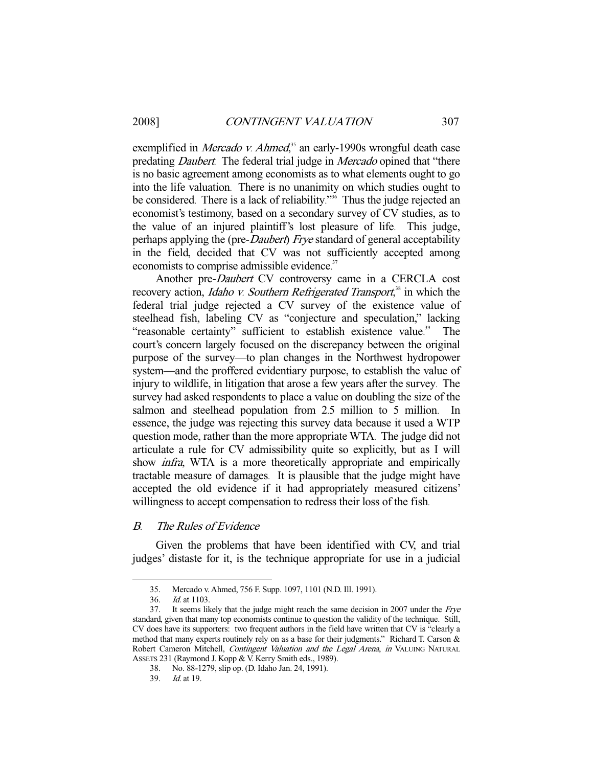exemplified in *Mercado v. Ahmed*,<sup>35</sup> an early-1990s wrongful death case predating *Daubert*. The federal trial judge in *Mercado* opined that "there is no basic agreement among economists as to what elements ought to go into the life valuation. There is no unanimity on which studies ought to be considered. There is a lack of reliability."<sup>36</sup> Thus the judge rejected an economist's testimony, based on a secondary survey of CV studies, as to the value of an injured plaintiff's lost pleasure of life. This judge, perhaps applying the (pre-*Daubert*) Frye standard of general acceptability in the field, decided that CV was not sufficiently accepted among economists to comprise admissible evidence.<sup>37</sup>

Another pre-Daubert CV controversy came in a CERCLA cost recovery action, *Idaho v. Southern Refrigerated Transport*,<sup>38</sup> in which the federal trial judge rejected a CV survey of the existence value of steelhead fish, labeling CV as "conjecture and speculation," lacking "reasonable certainty" sufficient to establish existence value.<sup>39</sup> The court's concern largely focused on the discrepancy between the original purpose of the survey—to plan changes in the Northwest hydropower system—and the proffered evidentiary purpose, to establish the value of injury to wildlife, in litigation that arose a few years after the survey. The survey had asked respondents to place a value on doubling the size of the salmon and steelhead population from 2.5 million to 5 million. In essence, the judge was rejecting this survey data because it used a WTP question mode, rather than the more appropriate WTA. The judge did not articulate a rule for CV admissibility quite so explicitly, but as I will show *infra*, WTA is a more theoretically appropriate and empirically tractable measure of damages. It is plausible that the judge might have accepted the old evidence if it had appropriately measured citizens' willingness to accept compensation to redress their loss of the fish.

## B. The Rules of Evidence

Given the problems that have been identified with CV, and trial judges' distaste for it, is the technique appropriate for use in a judicial

 <sup>35.</sup> Mercado v. Ahmed, 756 F. Supp. 1097, 1101 (N.D. Ill. 1991).

<sup>36.</sup> *Id.* at 1103.<br>37. It seems like

It seems likely that the judge might reach the same decision in 2007 under the Frye standard, given that many top economists continue to question the validity of the technique. Still, CV does have its supporters: two frequent authors in the field have written that CV is "clearly a method that many experts routinely rely on as a base for their judgments." Richard T. Carson & Robert Cameron Mitchell, Contingent Valuation and the Legal Arena, in VALUING NATURAL ASSETS 231 (Raymond J. Kopp & V. Kerry Smith eds., 1989).

 <sup>38.</sup> No. 88-1279, slip op. (D. Idaho Jan. 24, 1991).

 <sup>39.</sup> Id. at 19.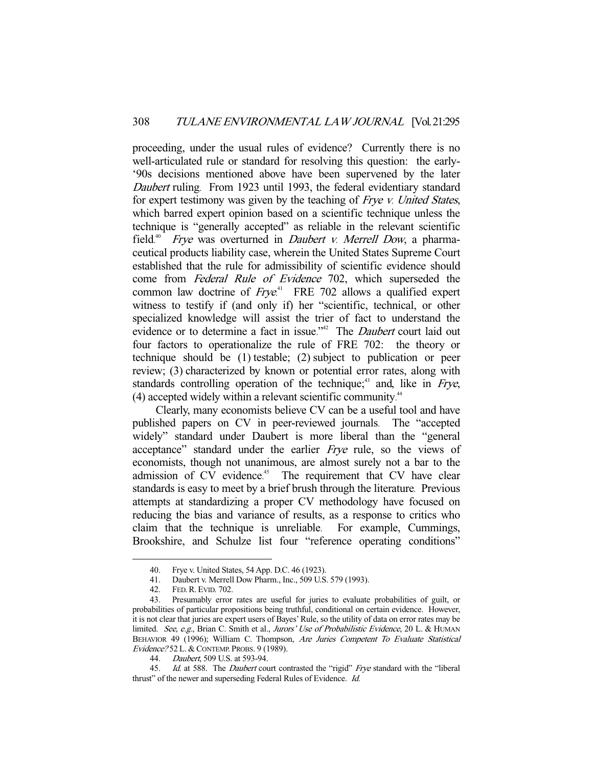proceeding, under the usual rules of evidence? Currently there is no well-articulated rule or standard for resolving this question: the early- '90s decisions mentioned above have been supervened by the later Daubert ruling. From 1923 until 1993, the federal evidentiary standard for expert testimony was given by the teaching of Frye v. United States, which barred expert opinion based on a scientific technique unless the technique is "generally accepted" as reliable in the relevant scientific field.<sup>40</sup> *Frye* was overturned in *Daubert v. Merrell Dow*, a pharmaceutical products liability case, wherein the United States Supreme Court established that the rule for admissibility of scientific evidence should come from Federal Rule of Evidence 702, which superseded the common law doctrine of  $Frye<sup>41</sup>$  FRE 702 allows a qualified expert witness to testify if (and only if) her "scientific, technical, or other specialized knowledge will assist the trier of fact to understand the evidence or to determine a fact in issue."<sup>42</sup> The *Daubert* court laid out four factors to operationalize the rule of FRE 702: the theory or technique should be (1) testable; (2) subject to publication or peer review; (3) characterized by known or potential error rates, along with standards controlling operation of the technique; $43$  and, like in Frye, (4) accepted widely within a relevant scientific community. 44

Clearly, many economists believe CV can be a useful tool and have published papers on CV in peer-reviewed journals. The "accepted widely" standard under Daubert is more liberal than the "general acceptance" standard under the earlier Frye rule, so the views of economists, though not unanimous, are almost surely not a bar to the admission of CV evidence.<sup>45</sup> The requirement that CV have clear standards is easy to meet by a brief brush through the literature. Previous attempts at standardizing a proper CV methodology have focused on reducing the bias and variance of results, as a response to critics who claim that the technique is unreliable. For example, Cummings, Brookshire, and Schulze list four "reference operating conditions"

 <sup>40.</sup> Frye v. United States, 54 App. D.C. 46 (1923).

 <sup>41.</sup> Daubert v. Merrell Dow Pharm., Inc., 509 U.S. 579 (1993).

 <sup>42.</sup> FED.R.EVID. 702.

 <sup>43.</sup> Presumably error rates are useful for juries to evaluate probabilities of guilt, or probabilities of particular propositions being truthful, conditional on certain evidence. However, it is not clear that juries are expert users of Bayes' Rule, so the utility of data on error rates may be limited. See, e.g., Brian C. Smith et al., Jurors' Use of Probabilistic Evidence, 20 L. & HUMAN BEHAVIOR 49 (1996); William C. Thompson, Are Juries Competent To Evaluate Statistical Evidence? 52 L. & CONTEMP. PROBS. 9 (1989).

 <sup>44.</sup> Daubert, 509 U.S. at 593-94.

<sup>45.</sup> Id. at 588. The Daubert court contrasted the "rigid" Frye standard with the "liberal thrust" of the newer and superseding Federal Rules of Evidence. Id.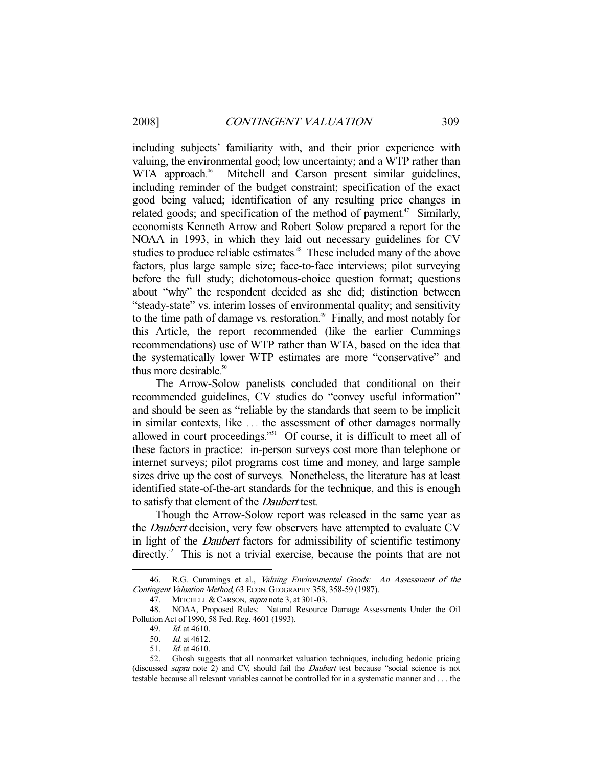including subjects' familiarity with, and their prior experience with valuing, the environmental good; low uncertainty; and a WTP rather than WTA approach.<sup>46</sup> Mitchell and Carson present similar guidelines, including reminder of the budget constraint; specification of the exact good being valued; identification of any resulting price changes in related goods; and specification of the method of payment.<sup>47</sup> Similarly, economists Kenneth Arrow and Robert Solow prepared a report for the NOAA in 1993, in which they laid out necessary guidelines for CV studies to produce reliable estimates.<sup>48</sup> These included many of the above factors, plus large sample size; face-to-face interviews; pilot surveying before the full study; dichotomous-choice question format; questions about "why" the respondent decided as she did; distinction between "steady-state" vs. interim losses of environmental quality; and sensitivity to the time path of damage vs. restoration. 49 Finally, and most notably for this Article, the report recommended (like the earlier Cummings recommendations) use of WTP rather than WTA, based on the idea that the systematically lower WTP estimates are more "conservative" and thus more desirable. 50

The Arrow-Solow panelists concluded that conditional on their recommended guidelines, CV studies do "convey useful information" and should be seen as "reliable by the standards that seem to be implicit in similar contexts, like . . . the assessment of other damages normally allowed in court proceedings."<sup>51</sup> Of course, it is difficult to meet all of these factors in practice: in-person surveys cost more than telephone or internet surveys; pilot programs cost time and money, and large sample sizes drive up the cost of surveys. Nonetheless, the literature has at least identified state-of-the-art standards for the technique, and this is enough to satisfy that element of the Daubert test.

Though the Arrow-Solow report was released in the same year as the *Daubert* decision, very few observers have attempted to evaluate CV in light of the Daubert factors for admissibility of scientific testimony directly.<sup>52</sup> This is not a trivial exercise, because the points that are not

<sup>46.</sup> R.G. Cummings et al., Valuing Environmental Goods: An Assessment of the Contingent Valuation Method, 63 ECON. GEOGRAPHY 358, 358-59 (1987).

<sup>47.</sup> MITCHELL & CARSON, *supra* note 3, at 301-03.

 <sup>48.</sup> NOAA, Proposed Rules: Natural Resource Damage Assessments Under the Oil Pollution Act of 1990, 58 Fed. Reg. 4601 (1993).

 <sup>49.</sup> Id. at 4610.

 <sup>50.</sup> Id. at 4612.

 <sup>51.</sup> Id. at 4610.

 <sup>52.</sup> Ghosh suggests that all nonmarket valuation techniques, including hedonic pricing (discussed *supra* note 2) and CV, should fail the *Daubert* test because "social science is not testable because all relevant variables cannot be controlled for in a systematic manner and . . . the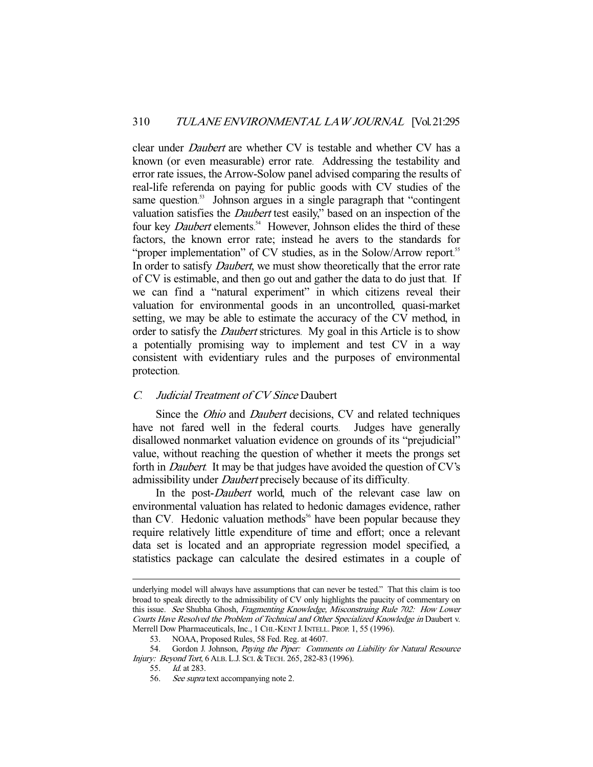clear under *Daubert* are whether CV is testable and whether CV has a known (or even measurable) error rate. Addressing the testability and error rate issues, the Arrow-Solow panel advised comparing the results of real-life referenda on paying for public goods with CV studies of the same question.<sup>53</sup> Johnson argues in a single paragraph that "contingent valuation satisfies the Daubert test easily," based on an inspection of the four key *Daubert* elements.<sup>54</sup> However, Johnson elides the third of these factors, the known error rate; instead he avers to the standards for "proper implementation" of CV studies, as in the Solow/Arrow report.<sup>55</sup> In order to satisfy *Daubert*, we must show theoretically that the error rate of CV is estimable, and then go out and gather the data to do just that. If we can find a "natural experiment" in which citizens reveal their valuation for environmental goods in an uncontrolled, quasi-market setting, we may be able to estimate the accuracy of the CV method, in order to satisfy the *Daubert* strictures. My goal in this Article is to show a potentially promising way to implement and test CV in a way consistent with evidentiary rules and the purposes of environmental protection.

## <sup>C</sup>. Judicial Treatment of CV Since Daubert

Since the *Ohio* and *Daubert* decisions, CV and related techniques have not fared well in the federal courts. Judges have generally disallowed nonmarket valuation evidence on grounds of its "prejudicial" value, without reaching the question of whether it meets the prongs set forth in Daubert. It may be that judges have avoided the question of CV's admissibility under Daubert precisely because of its difficulty.

In the post-*Daubert* world, much of the relevant case law on environmental valuation has related to hedonic damages evidence, rather than CV. Hedonic valuation methods<sup> $56$ </sup> have been popular because they require relatively little expenditure of time and effort; once a relevant data set is located and an appropriate regression model specified, a statistics package can calculate the desired estimates in a couple of

55. Id. at 283.

underlying model will always have assumptions that can never be tested." That this claim is too broad to speak directly to the admissibility of CV only highlights the paucity of commentary on this issue. See Shubha Ghosh, Fragmenting Knowledge, Misconstruing Rule 702: How Lower Courts Have Resolved the Problem of Technical and Other Specialized Knowledge in Daubert v. Merrell Dow Pharmaceuticals, Inc., 1 CHI.-KENT J. INTELL. PROP. 1, 55 (1996).

 <sup>53.</sup> NOAA, Proposed Rules, 58 Fed. Reg. at 4607.

<sup>54.</sup> Gordon J. Johnson, Paying the Piper: Comments on Liability for Natural Resource Injury: Beyond Tort, 6 ALB. L.J. SCI. &TECH. 265, 282-83 (1996).

<sup>56.</sup> See supra text accompanying note 2.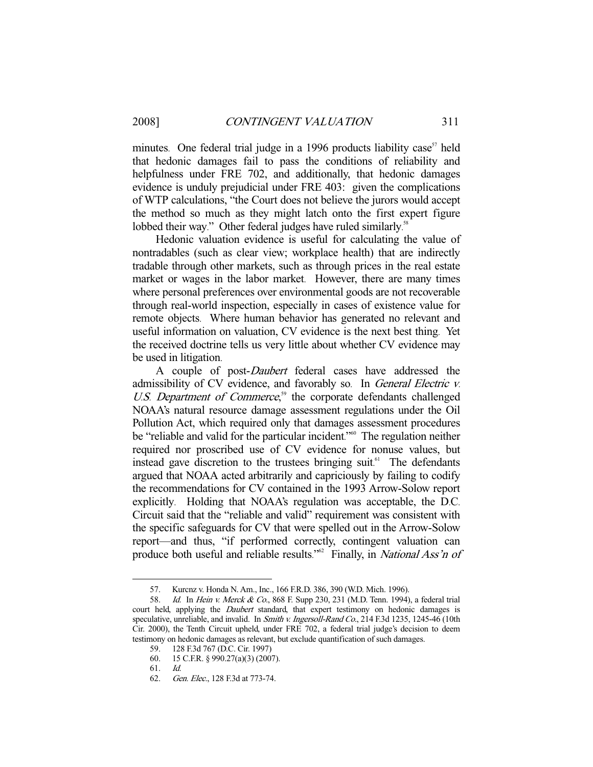minutes. One federal trial judge in a 1996 products liability case<sup> $57$ </sup> held that hedonic damages fail to pass the conditions of reliability and helpfulness under FRE 702, and additionally, that hedonic damages evidence is unduly prejudicial under FRE 403: given the complications of WTP calculations, "the Court does not believe the jurors would accept the method so much as they might latch onto the first expert figure lobbed their way." Other federal judges have ruled similarly.<sup>58</sup>

Hedonic valuation evidence is useful for calculating the value of nontradables (such as clear view; workplace health) that are indirectly tradable through other markets, such as through prices in the real estate market or wages in the labor market. However, there are many times where personal preferences over environmental goods are not recoverable through real-world inspection, especially in cases of existence value for remote objects. Where human behavior has generated no relevant and useful information on valuation, CV evidence is the next best thing. Yet the received doctrine tells us very little about whether CV evidence may be used in litigation.

A couple of post-Daubert federal cases have addressed the admissibility of CV evidence, and favorably so. In General Electric v. U.S. Department of Commerce,<sup>59</sup> the corporate defendants challenged NOAA's natural resource damage assessment regulations under the Oil Pollution Act, which required only that damages assessment procedures be "reliable and valid for the particular incident."<sup>60</sup> The regulation neither required nor proscribed use of CV evidence for nonuse values, but instead gave discretion to the trustees bringing suit.<sup>61</sup> The defendants argued that NOAA acted arbitrarily and capriciously by failing to codify the recommendations for CV contained in the 1993 Arrow-Solow report explicitly. Holding that NOAA's regulation was acceptable, the D.C. Circuit said that the "reliable and valid" requirement was consistent with the specific safeguards for CV that were spelled out in the Arrow-Solow report—and thus, "if performed correctly, contingent valuation can produce both useful and reliable results."<sup>62</sup> Finally, in *National Ass'n of* 

 <sup>57.</sup> Kurcnz v. Honda N. Am., Inc., 166 F.R.D. 386, 390 (W.D. Mich. 1996).

<sup>58.</sup> Id. In Hein v. Merck & Co., 868 F. Supp 230, 231 (M.D. Tenn. 1994), a federal trial court held, applying the *Daubert* standard, that expert testimony on hedonic damages is speculative, unreliable, and invalid. In Smith v. Ingersoll-Rand Co., 214 F.3d 1235, 1245-46 (10th Cir. 2000), the Tenth Circuit upheld, under FRE 702, a federal trial judge's decision to deem testimony on hedonic damages as relevant, but exclude quantification of such damages.

 <sup>59. 128</sup> F.3d 767 (D.C. Cir. 1997)

 <sup>60. 15</sup> C.F.R. § 990.27(a)(3) (2007).

 <sup>61.</sup> Id.

 <sup>62.</sup> Gen. Elec., 128 F.3d at 773-74.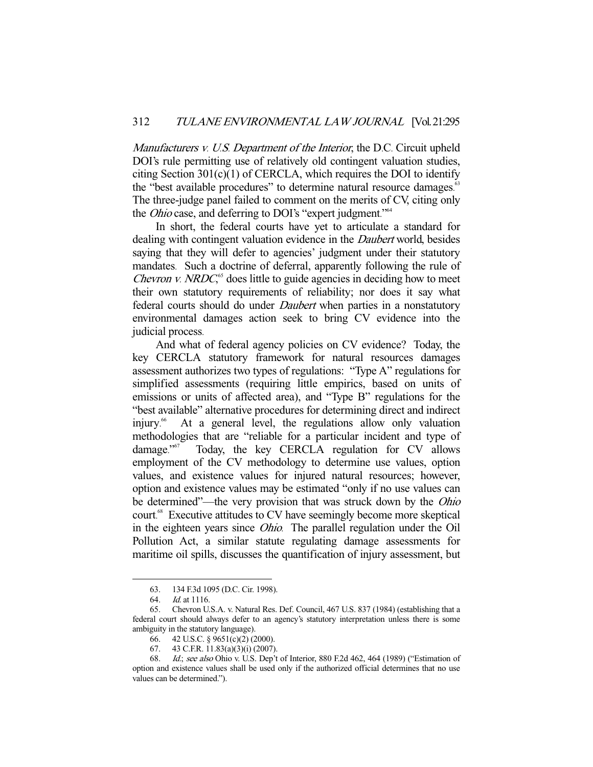Manufacturers v. U.S. Department of the Interior, the D.C. Circuit upheld DOI's rule permitting use of relatively old contingent valuation studies, citing Section  $301(c)(1)$  of CERCLA, which requires the DOI to identify the "best available procedures" to determine natural resource damages.<sup>63</sup> The three-judge panel failed to comment on the merits of CV, citing only the *Ohio* case, and deferring to DOI's "expert judgment."<sup>64</sup>

In short, the federal courts have yet to articulate a standard for dealing with contingent valuation evidence in the *Daubert* world, besides saying that they will defer to agencies' judgment under their statutory mandates. Such a doctrine of deferral, apparently following the rule of *Chevron v. NRDC*<sup> $,65$ </sup> does little to guide agencies in deciding how to meet their own statutory requirements of reliability; nor does it say what federal courts should do under Daubert when parties in a nonstatutory environmental damages action seek to bring CV evidence into the judicial process.

And what of federal agency policies on CV evidence? Today, the key CERCLA statutory framework for natural resources damages assessment authorizes two types of regulations: "Type A" regulations for simplified assessments (requiring little empirics, based on units of emissions or units of affected area), and "Type B" regulations for the "best available" alternative procedures for determining direct and indirect injury. At a general level, the regulations allow only valuation methodologies that are "reliable for a particular incident and type of damage."<sup>567</sup> Today, the key CERCLA regulation for CV allows employment of the CV methodology to determine use values, option values, and existence values for injured natural resources; however, option and existence values may be estimated "only if no use values can be determined"—the very provision that was struck down by the Ohio court. 68 Executive attitudes to CV have seemingly become more skeptical in the eighteen years since Ohio. The parallel regulation under the Oil Pollution Act, a similar statute regulating damage assessments for maritime oil spills, discusses the quantification of injury assessment, but

<sup>63. 134</sup> F.3d 1095 (D.C. Cir. 1998).<br>64. Id. at 1116.

 $Id$  at 1116.

 <sup>65.</sup> Chevron U.S.A. v. Natural Res. Def. Council, 467 U.S. 837 (1984) (establishing that a federal court should always defer to an agency's statutory interpretation unless there is some ambiguity in the statutory language).

 <sup>66. 42</sup> U.S.C. § 9651(c)(2) (2000).

 <sup>67. 43</sup> C.F.R. 11.83(a)(3)(i) (2007).

<sup>68.</sup> Id.; see also Ohio v. U.S. Dep't of Interior, 880 F.2d 462, 464 (1989) ("Estimation of option and existence values shall be used only if the authorized official determines that no use values can be determined.").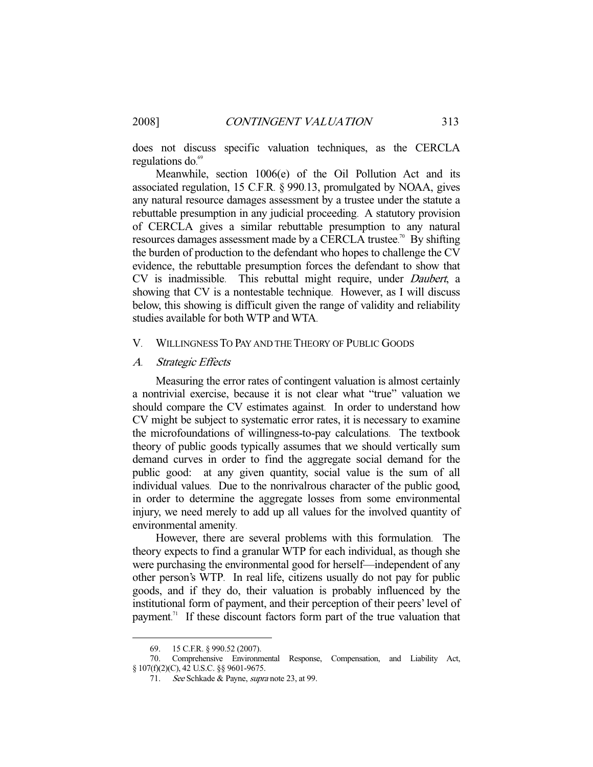does not discuss specific valuation techniques, as the CERCLA regulations do. 69

Meanwhile, section 1006(e) of the Oil Pollution Act and its associated regulation, 15 C.F.R. § 990.13, promulgated by NOAA, gives any natural resource damages assessment by a trustee under the statute a rebuttable presumption in any judicial proceeding. A statutory provision of CERCLA gives a similar rebuttable presumption to any natural resources damages assessment made by a CERCLA trustee.<sup>70</sup> By shifting the burden of production to the defendant who hopes to challenge the CV evidence, the rebuttable presumption forces the defendant to show that CV is inadmissible. This rebuttal might require, under Daubert, a showing that CV is a nontestable technique. However, as I will discuss below, this showing is difficult given the range of validity and reliability studies available for both WTP and WTA.

#### V. WILLINGNESS TO PAY AND THE THEORY OF PUBLIC GOODS

A. Strategic Effects

Measuring the error rates of contingent valuation is almost certainly a nontrivial exercise, because it is not clear what "true" valuation we should compare the CV estimates against. In order to understand how CV might be subject to systematic error rates, it is necessary to examine the microfoundations of willingness-to-pay calculations. The textbook theory of public goods typically assumes that we should vertically sum demand curves in order to find the aggregate social demand for the public good: at any given quantity, social value is the sum of all individual values. Due to the nonrivalrous character of the public good, in order to determine the aggregate losses from some environmental injury, we need merely to add up all values for the involved quantity of environmental amenity.

However, there are several problems with this formulation. The theory expects to find a granular WTP for each individual, as though she were purchasing the environmental good for herself—independent of any other person's WTP. In real life, citizens usually do not pay for public goods, and if they do, their valuation is probably influenced by the institutional form of payment, and their perception of their peers' level of payment.<sup>71</sup> If these discount factors form part of the true valuation that

 <sup>69. 15</sup> C.F.R. § 990.52 (2007).

 <sup>70.</sup> Comprehensive Environmental Response, Compensation, and Liability Act, § 107(f)(2)(C), 42 U.S.C. §§ 9601-9675.

<sup>71.</sup> See Schkade & Payne, supra note 23, at 99.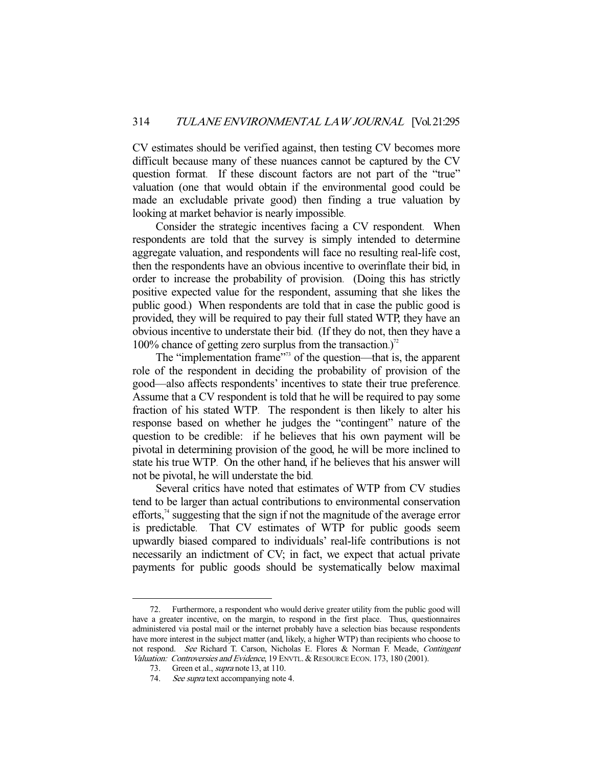CV estimates should be verified against, then testing CV becomes more difficult because many of these nuances cannot be captured by the CV question format. If these discount factors are not part of the "true" valuation (one that would obtain if the environmental good could be made an excludable private good) then finding a true valuation by looking at market behavior is nearly impossible.

Consider the strategic incentives facing a CV respondent. When respondents are told that the survey is simply intended to determine aggregate valuation, and respondents will face no resulting real-life cost, then the respondents have an obvious incentive to overinflate their bid, in order to increase the probability of provision. (Doing this has strictly positive expected value for the respondent, assuming that she likes the public good.) When respondents are told that in case the public good is provided, they will be required to pay their full stated WTP, they have an obvious incentive to understate their bid. (If they do not, then they have a 100% chance of getting zero surplus from the transaction.)<sup> $2$ </sup>

The "implementation frame"<sup>73</sup> of the question—that is, the apparent role of the respondent in deciding the probability of provision of the good—also affects respondents' incentives to state their true preference. Assume that a CV respondent is told that he will be required to pay some fraction of his stated WTP. The respondent is then likely to alter his response based on whether he judges the "contingent" nature of the question to be credible: if he believes that his own payment will be pivotal in determining provision of the good, he will be more inclined to state his true WTP. On the other hand, if he believes that his answer will not be pivotal, he will understate the bid.

Several critics have noted that estimates of WTP from CV studies tend to be larger than actual contributions to environmental conservation efforts, $<sup>74</sup>$  suggesting that the sign if not the magnitude of the average error</sup> is predictable. That CV estimates of WTP for public goods seem upwardly biased compared to individuals' real-life contributions is not necessarily an indictment of CV; in fact, we expect that actual private payments for public goods should be systematically below maximal

<sup>-</sup> 72. Furthermore, a respondent who would derive greater utility from the public good will have a greater incentive, on the margin, to respond in the first place. Thus, questionnaires administered via postal mail or the internet probably have a selection bias because respondents have more interest in the subject matter (and, likely, a higher WTP) than recipients who choose to not respond. See Richard T. Carson, Nicholas E. Flores & Norman F. Meade, Contingent Valuation: Controversies and Evidence, 19 ENVTL. & RESOURCE ECON. 173, 180 (2001).

<sup>73.</sup> Green et al., *supra* note 13, at 110.

<sup>74.</sup> See supra text accompanying note 4.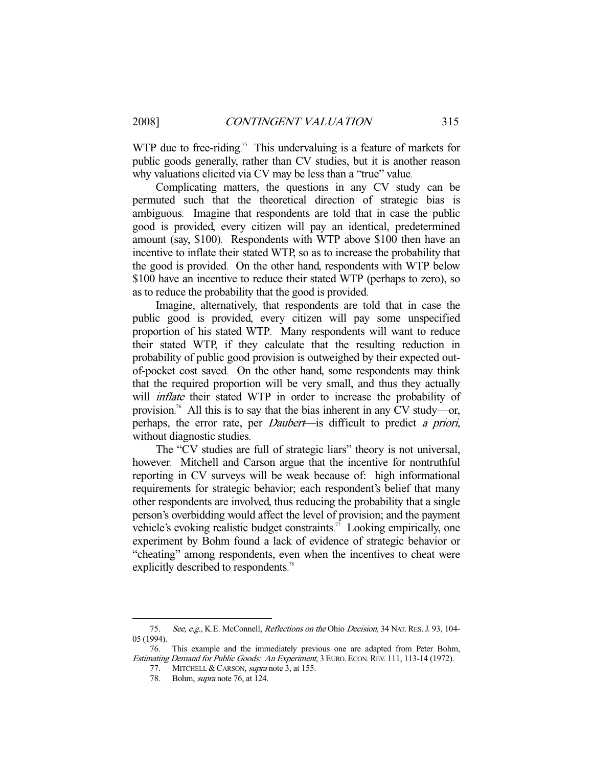WTP due to free-riding.<sup>75</sup> This undervaluing is a feature of markets for public goods generally, rather than CV studies, but it is another reason why valuations elicited via CV may be less than a "true" value.

Complicating matters, the questions in any CV study can be permuted such that the theoretical direction of strategic bias is ambiguous. Imagine that respondents are told that in case the public good is provided, every citizen will pay an identical, predetermined amount (say, \$100). Respondents with WTP above \$100 then have an incentive to inflate their stated WTP, so as to increase the probability that the good is provided. On the other hand, respondents with WTP below \$100 have an incentive to reduce their stated WTP (perhaps to zero), so as to reduce the probability that the good is provided.

Imagine, alternatively, that respondents are told that in case the public good is provided, every citizen will pay some unspecified proportion of his stated WTP. Many respondents will want to reduce their stated WTP, if they calculate that the resulting reduction in probability of public good provision is outweighed by their expected outof-pocket cost saved. On the other hand, some respondents may think that the required proportion will be very small, and thus they actually will *inflate* their stated WTP in order to increase the probability of provision. 76 All this is to say that the bias inherent in any CV study—or, perhaps, the error rate, per Daubert—is difficult to predict a priori, without diagnostic studies.

The "CV studies are full of strategic liars" theory is not universal, however. Mitchell and Carson argue that the incentive for nontruthful reporting in CV surveys will be weak because of: high informational requirements for strategic behavior; each respondent's belief that many other respondents are involved, thus reducing the probability that a single person's overbidding would affect the level of provision; and the payment vehicle's evoking realistic budget constraints.<sup>77</sup> Looking empirically, one experiment by Bohm found a lack of evidence of strategic behavior or "cheating" among respondents, even when the incentives to cheat were explicitly described to respondents.<sup>78</sup>

<sup>75.</sup> See, e.g., K.E. McConnell, *Reflections on the Ohio Decision*, 34 NAT. RES. J. 93, 104-05 (1994).

 <sup>76.</sup> This example and the immediately previous one are adapted from Peter Bohm, Estimating Demand for Public Goods: An Experiment, 3 EURO. ECON. REV. 111, 113-14 (1972).

<sup>77.</sup> MITCHELL & CARSON, supra note 3, at 155.

 <sup>78.</sup> Bohm, supra note 76, at 124.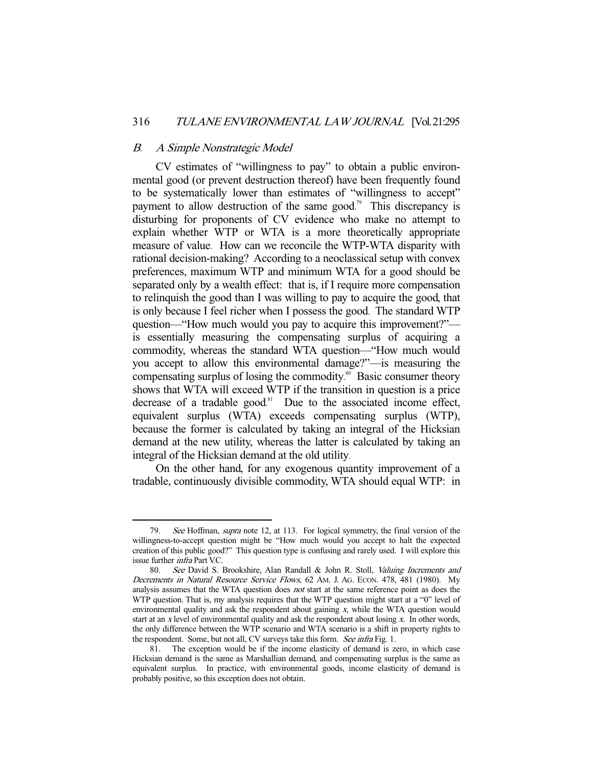#### B. A Simple Nonstrategic Model

-

CV estimates of "willingness to pay" to obtain a public environmental good (or prevent destruction thereof) have been frequently found to be systematically lower than estimates of "willingness to accept" payment to allow destruction of the same good.<sup>79</sup> This discrepancy is disturbing for proponents of CV evidence who make no attempt to explain whether WTP or WTA is a more theoretically appropriate measure of value. How can we reconcile the WTP-WTA disparity with rational decision-making? According to a neoclassical setup with convex preferences, maximum WTP and minimum WTA for a good should be separated only by a wealth effect: that is, if I require more compensation to relinquish the good than I was willing to pay to acquire the good, that is only because I feel richer when I possess the good. The standard WTP question—"How much would you pay to acquire this improvement?" is essentially measuring the compensating surplus of acquiring a commodity, whereas the standard WTA question—"How much would you accept to allow this environmental damage?"—is measuring the compensating surplus of losing the commodity.<sup>80</sup> Basic consumer theory shows that WTA will exceed WTP if the transition in question is a price decrease of a tradable good.<sup>81</sup> Due to the associated income effect, equivalent surplus (WTA) exceeds compensating surplus (WTP), because the former is calculated by taking an integral of the Hicksian demand at the new utility, whereas the latter is calculated by taking an integral of the Hicksian demand at the old utility.

On the other hand, for any exogenous quantity improvement of a tradable, continuously divisible commodity, WTA should equal WTP: in

<sup>79.</sup> See Hoffman, *supra* note 12, at 113. For logical symmetry, the final version of the willingness-to-accept question might be "How much would you accept to halt the expected creation of this public good?" This question type is confusing and rarely used. I will explore this issue further infra Part V.C.

 <sup>80.</sup> See David S. Brookshire, Alan Randall & John R. Stoll, Valuing Increments and Decrements in Natural Resource Service Flows, 62 AM. J. AG. ECON. 478, 481 (1980). My analysis assumes that the WTA question does not start at the same reference point as does the WTP question. That is, my analysis requires that the WTP question might start at a "0" level of environmental quality and ask the respondent about gaining x, while the WTA question would start at an  $x$  level of environmental quality and ask the respondent about losing  $x$ . In other words, the only difference between the WTP scenario and WTA scenario is a shift in property rights to the respondent. Some, but not all, CV surveys take this form. See infra Fig. 1.

 <sup>81.</sup> The exception would be if the income elasticity of demand is zero, in which case Hicksian demand is the same as Marshallian demand, and compensating surplus is the same as equivalent surplus. In practice, with environmental goods, income elasticity of demand is probably positive, so this exception does not obtain.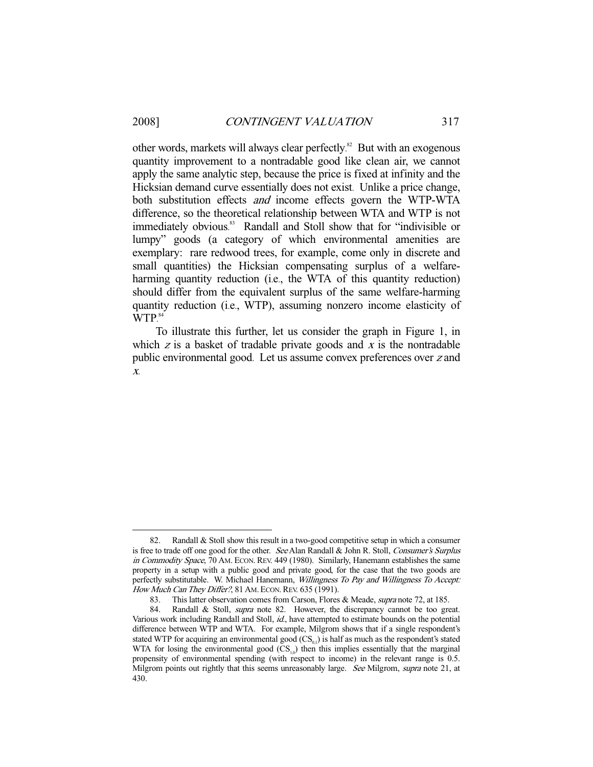other words, markets will always clear perfectly.<sup>82</sup> But with an exogenous quantity improvement to a nontradable good like clean air, we cannot apply the same analytic step, because the price is fixed at infinity and the Hicksian demand curve essentially does not exist. Unlike a price change, both substitution effects *and* income effects govern the WTP-WTA difference, so the theoretical relationship between WTA and WTP is not immediately obvious.<sup>83</sup> Randall and Stoll show that for "indivisible or lumpy" goods (a category of which environmental amenities are exemplary: rare redwood trees, for example, come only in discrete and small quantities) the Hicksian compensating surplus of a welfareharming quantity reduction (i.e., the WTA of this quantity reduction) should differ from the equivalent surplus of the same welfare-harming quantity reduction (i.e., WTP), assuming nonzero income elasticity of WTP. 84

To illustrate this further, let us consider the graph in Figure 1, in which  $z$  is a basket of tradable private goods and  $x$  is the nontradable public environmental good. Let us assume convex preferences over z and x.

 <sup>82.</sup> Randall & Stoll show this result in a two-good competitive setup in which a consumer is free to trade off one good for the other. See Alan Randall & John R. Stoll, Consumer's Surplus in Commodity Space, 70 AM. ECON. REV. 449 (1980). Similarly, Hanemann establishes the same property in a setup with a public good and private good, for the case that the two goods are perfectly substitutable. W. Michael Hanemann, Willingness To Pay and Willingness To Accept: How Much Can They Differ?, 81 AM. ECON. REV. 635 (1991).

<sup>83.</sup> This latter observation comes from Carson, Flores & Meade, *supra* note 72, at 185.<br>84. Randall & Stoll, *supra* note 82. However, the discrepancy cannot be too gre

Randall & Stoll, *supra* note 82. However, the discrepancy cannot be too great. Various work including Randall and Stoll, id., have attempted to estimate bounds on the potential difference between WTP and WTA. For example, Milgrom shows that if a single respondent's stated WTP for acquiring an environmental good  $(CS_{0,1})$  is half as much as the respondent's stated WTA for losing the environmental good  $(CS_{10})$  then this implies essentially that the marginal propensity of environmental spending (with respect to income) in the relevant range is 0.5. Milgrom points out rightly that this seems unreasonably large. See Milgrom, supra note 21, at 430.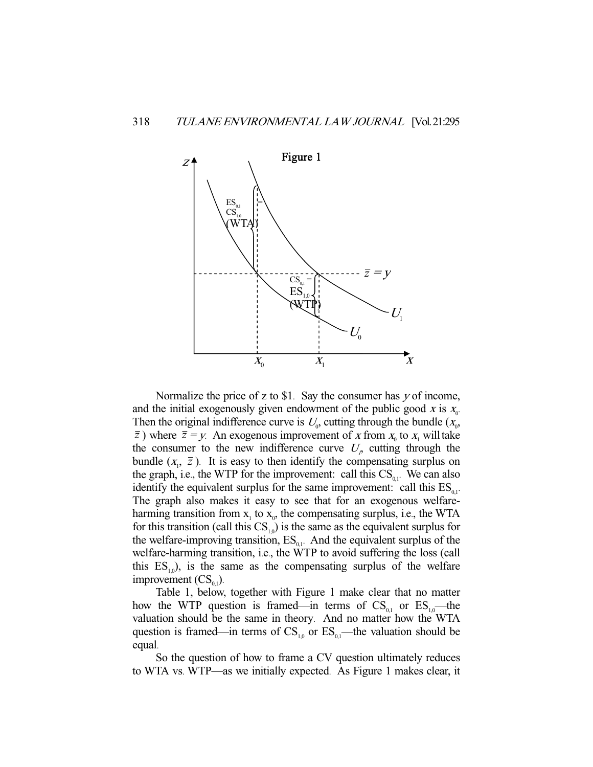

Normalize the price of z to \$1. Say the consumer has  $y$  of income, and the initial exogenously given endowment of the public good  $x$  is  $x_0$ . Then the original indifference curve is  $U_0$ , cutting through the bundle  $(X_0, Y_0)$  $\overline{z}$ ) where  $\overline{z} = y$ . An exogenous improvement of x from  $x_0$  to  $x_1$  will take the consumer to the new indifference curve  $U<sub>p</sub>$  cutting through the bundle  $(x_1, \bar{z})$ . It is easy to then identify the compensating surplus on the graph, i.e., the WTP for the improvement: call this  $CS_{0.1}$ . We can also identify the equivalent surplus for the same improvement: call this  $ES_{0}$ . The graph also makes it easy to see that for an exogenous welfareharming transition from  $x_1$  to  $x_0$ , the compensating surplus, i.e., the WTA for this transition (call this  $CS_{10}$ ) is the same as the equivalent surplus for the welfare-improving transition,  $ES_{01}$ . And the equivalent surplus of the welfare-harming transition, i.e., the WTP to avoid suffering the loss (call this  $ES_{1,0}$ , is the same as the compensating surplus of the welfare improvement  $\text{ (CS}_{0,1})$ .

Table 1, below, together with Figure 1 make clear that no matter how the WTP question is framed—in terms of  $CS_{0,1}$  or  $ES_{1,0}$ —the valuation should be the same in theory. And no matter how the WTA question is framed—in terms of  $CS_{1,0}$  or  $ES_{0,1}$ —the valuation should be equal.

So the question of how to frame a CV question ultimately reduces to WTA vs. WTP—as we initially expected. As Figure 1 makes clear, it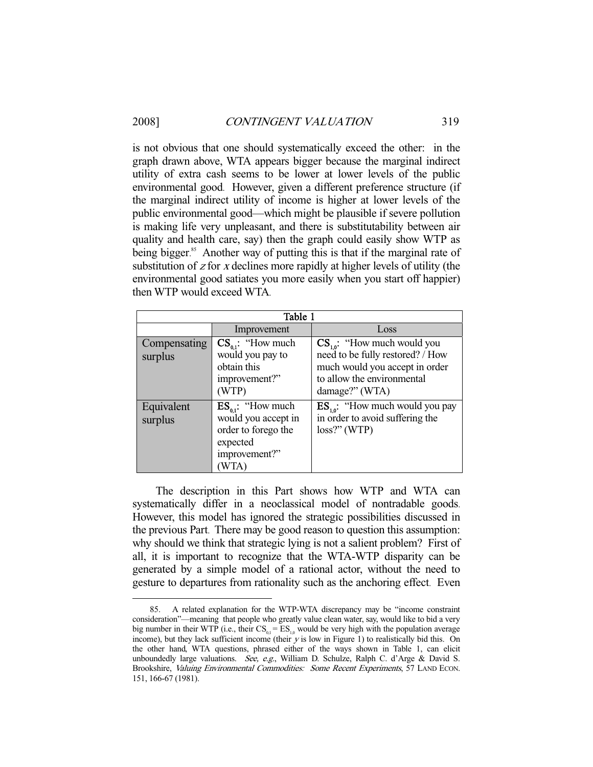## 2008] *CONTINGENT VALUATION* 319

is not obvious that one should systematically exceed the other: in the graph drawn above, WTA appears bigger because the marginal indirect utility of extra cash seems to be lower at lower levels of the public environmental good. However, given a different preference structure (if the marginal indirect utility of income is higher at lower levels of the public environmental good—which might be plausible if severe pollution is making life very unpleasant, and there is substitutability between air quality and health care, say) then the graph could easily show WTP as being bigger.<sup>85</sup> Another way of putting this is that if the marginal rate of substitution of  $z$  for  $x$  declines more rapidly at higher levels of utility (the environmental good satiates you more easily when you start off happier) then WTP would exceed WTA.

| Table 1                 |                                                                                                          |                                                                                                                                                       |  |  |  |
|-------------------------|----------------------------------------------------------------------------------------------------------|-------------------------------------------------------------------------------------------------------------------------------------------------------|--|--|--|
|                         | Improvement                                                                                              | Loss                                                                                                                                                  |  |  |  |
| Compensating<br>surplus | $CS_{a1}$ : "How much<br>would you pay to<br>obtain this<br>improvement?"<br>(WTP)                       | $CS_{10}$ : "How much would you<br>need to be fully restored? / How<br>much would you accept in order<br>to allow the environmental<br>damage?" (WTA) |  |  |  |
| Equivalent<br>surplus   | $ES_{a1}:$ "How much"<br>would you accept in<br>order to forego the<br>expected<br>improvement?"<br>WTA` | $\text{ES}_{10}$ : "How much would you pay<br>in order to avoid suffering the<br>$loss?$ " (WTP)                                                      |  |  |  |

The description in this Part shows how WTP and WTA can systematically differ in a neoclassical model of nontradable goods. However, this model has ignored the strategic possibilities discussed in the previous Part. There may be good reason to question this assumption: why should we think that strategic lying is not a salient problem? First of all, it is important to recognize that the WTA-WTP disparity can be generated by a simple model of a rational actor, without the need to gesture to departures from rationality such as the anchoring effect. Even

 <sup>85.</sup> A related explanation for the WTP-WTA discrepancy may be "income constraint consideration"—meaning that people who greatly value clean water, say, would like to bid a very big number in their WTP (i.e., their  $CS_{0.1} = ES_{1.0}$  would be very high with the population average income), but they lack sufficient income (their  $y$  is low in Figure 1) to realistically bid this. On the other hand, WTA questions, phrased either of the ways shown in Table 1, can elicit unboundedly large valuations. See, e.g., William D. Schulze, Ralph C. d'Arge & David S. Brookshire, Valuing Environmental Commodities: Some Recent Experiments, 57 LAND ECON. 151, 166-67 (1981).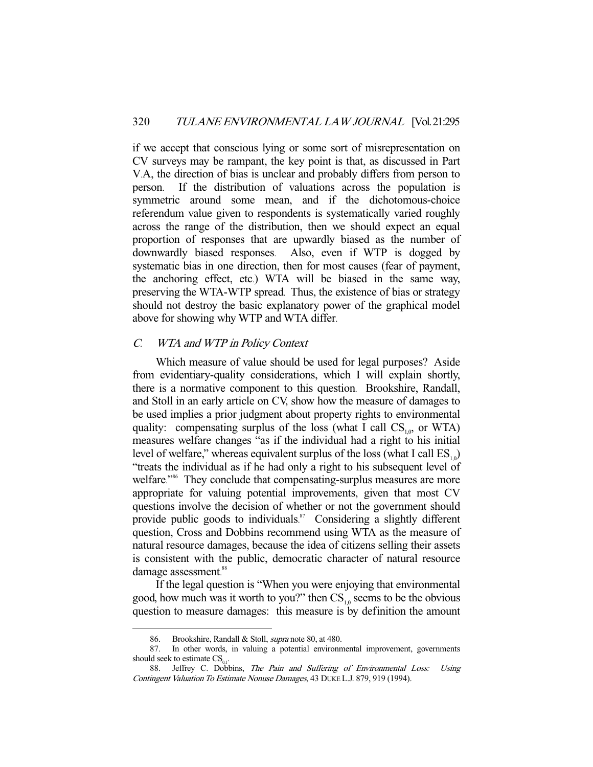if we accept that conscious lying or some sort of misrepresentation on CV surveys may be rampant, the key point is that, as discussed in Part V.A, the direction of bias is unclear and probably differs from person to person. If the distribution of valuations across the population is symmetric around some mean, and if the dichotomous-choice referendum value given to respondents is systematically varied roughly across the range of the distribution, then we should expect an equal proportion of responses that are upwardly biased as the number of downwardly biased responses. Also, even if WTP is dogged by systematic bias in one direction, then for most causes (fear of payment, the anchoring effect, etc.) WTA will be biased in the same way, preserving the WTA-WTP spread. Thus, the existence of bias or strategy should not destroy the basic explanatory power of the graphical model above for showing why WTP and WTA differ.

## C. WTA and WTP in Policy Context

Which measure of value should be used for legal purposes? Aside from evidentiary-quality considerations, which I will explain shortly, there is a normative component to this question. Brookshire, Randall, and Stoll in an early article on CV, show how the measure of damages to be used implies a prior judgment about property rights to environmental quality: compensating surplus of the loss (what I call  $CS_{10}$ , or WTA) measures welfare changes "as if the individual had a right to his initial level of welfare," whereas equivalent surplus of the loss (what I call  $ES_{10}$ ) "treats the individual as if he had only a right to his subsequent level of welfare."<sup>86</sup> They conclude that compensating-surplus measures are more appropriate for valuing potential improvements, given that most CV questions involve the decision of whether or not the government should provide public goods to individuals.<sup>87</sup> Considering a slightly different question, Cross and Dobbins recommend using WTA as the measure of natural resource damages, because the idea of citizens selling their assets is consistent with the public, democratic character of natural resource damage assessment.<sup>88</sup>

If the legal question is "When you were enjoying that environmental good, how much was it worth to you?" then  $CS_{10}$  seems to be the obvious question to measure damages: this measure is by definition the amount

<sup>86.</sup> Brookshire, Randall & Stoll, *supra* note 80, at 480.

 <sup>87.</sup> In other words, in valuing a potential environmental improvement, governments should seek to estimate  $CS_{0}$ .

<sup>88.</sup> Jeffrey C. Dobbins, The Pain and Suffering of Environmental Loss: Using Contingent Valuation To Estimate Nonuse Damages, 43 DUKE L.J. 879, 919 (1994).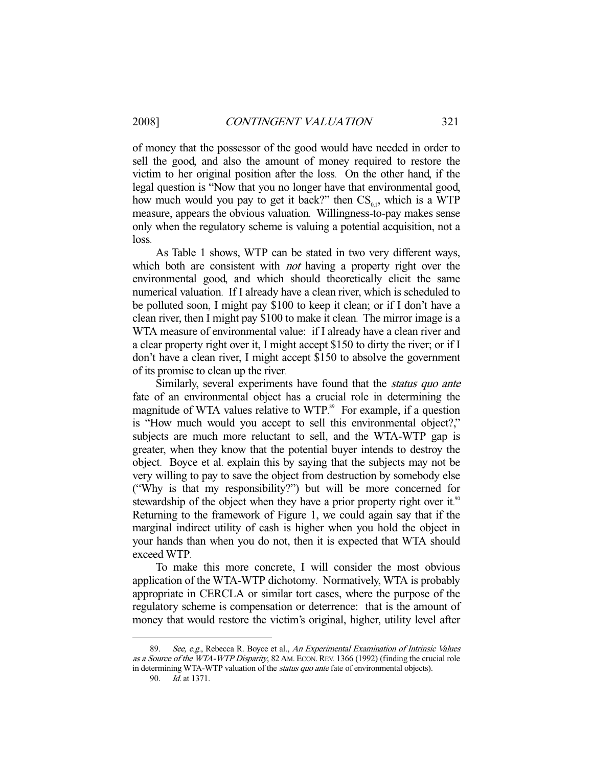of money that the possessor of the good would have needed in order to sell the good, and also the amount of money required to restore the victim to her original position after the loss. On the other hand, if the legal question is "Now that you no longer have that environmental good, how much would you pay to get it back?" then  $CS_{01}$ , which is a WTP measure, appears the obvious valuation. Willingness-to-pay makes sense only when the regulatory scheme is valuing a potential acquisition, not a loss.

As Table 1 shows, WTP can be stated in two very different ways, which both are consistent with *not* having a property right over the environmental good, and which should theoretically elicit the same numerical valuation. If I already have a clean river, which is scheduled to be polluted soon, I might pay \$100 to keep it clean; or if I don't have a clean river, then I might pay \$100 to make it clean. The mirror image is a WTA measure of environmental value: if I already have a clean river and a clear property right over it, I might accept \$150 to dirty the river; or if I don't have a clean river, I might accept \$150 to absolve the government of its promise to clean up the river.

Similarly, several experiments have found that the *status quo ante* fate of an environmental object has a crucial role in determining the magnitude of WTA values relative to WTP.<sup>89</sup> For example, if a question is "How much would you accept to sell this environmental object?," subjects are much more reluctant to sell, and the WTA-WTP gap is greater, when they know that the potential buyer intends to destroy the object. Boyce et al. explain this by saying that the subjects may not be very willing to pay to save the object from destruction by somebody else ("Why is that my responsibility?") but will be more concerned for stewardship of the object when they have a prior property right over it.<sup>90</sup> Returning to the framework of Figure 1, we could again say that if the marginal indirect utility of cash is higher when you hold the object in your hands than when you do not, then it is expected that WTA should exceed WTP.

To make this more concrete, I will consider the most obvious application of the WTA-WTP dichotomy. Normatively, WTA is probably appropriate in CERCLA or similar tort cases, where the purpose of the regulatory scheme is compensation or deterrence: that is the amount of money that would restore the victim's original, higher, utility level after

See, e.g., Rebecca R. Boyce et al., An Experimental Examination of Intrinsic Values as a Source of the WTA-WTP Disparity, 82 AM. ECON. REV. 1366 (1992) (finding the crucial role in determining WTA-WTP valuation of the *status quo ante* fate of environmental objects).

 <sup>90.</sup> Id. at 1371.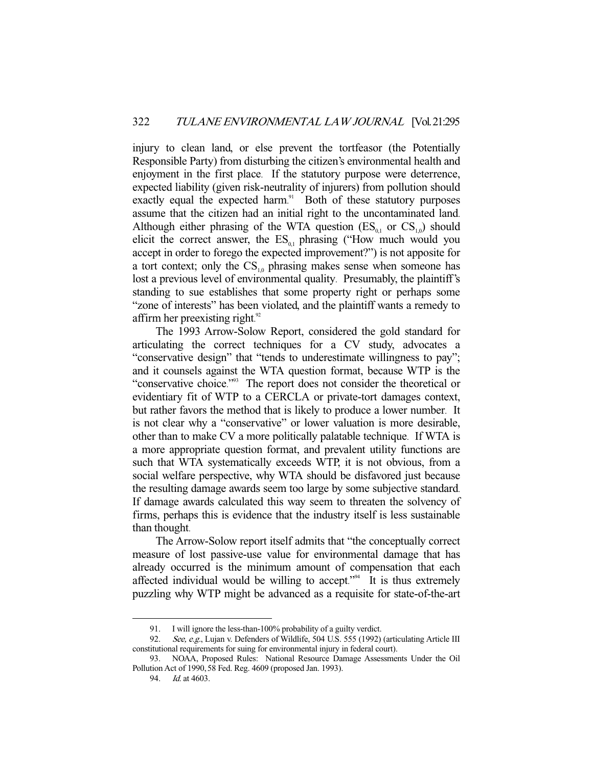injury to clean land, or else prevent the tortfeasor (the Potentially Responsible Party) from disturbing the citizen's environmental health and enjoyment in the first place. If the statutory purpose were deterrence, expected liability (given risk-neutrality of injurers) from pollution should exactly equal the expected harm.<sup>91</sup> Both of these statutory purposes assume that the citizen had an initial right to the uncontaminated land. Although either phrasing of the WTA question  $(ES_{0,1}$  or  $CS_{1,0})$  should elicit the correct answer, the  $ES_{0,1}$  phrasing ("How much would you accept in order to forego the expected improvement?") is not apposite for a tort context; only the  $CS_{10}$  phrasing makes sense when someone has lost a previous level of environmental quality. Presumably, the plaintiff's standing to sue establishes that some property right or perhaps some "zone of interests" has been violated, and the plaintiff wants a remedy to affirm her preexisting right.<sup>92</sup>

The 1993 Arrow-Solow Report, considered the gold standard for articulating the correct techniques for a CV study, advocates a "conservative design" that "tends to underestimate willingness to pay"; and it counsels against the WTA question format, because WTP is the "conservative choice."<sup>93</sup> The report does not consider the theoretical or evidentiary fit of WTP to a CERCLA or private-tort damages context, but rather favors the method that is likely to produce a lower number. It is not clear why a "conservative" or lower valuation is more desirable, other than to make CV a more politically palatable technique. If WTA is a more appropriate question format, and prevalent utility functions are such that WTA systematically exceeds WTP, it is not obvious, from a social welfare perspective, why WTA should be disfavored just because the resulting damage awards seem too large by some subjective standard. If damage awards calculated this way seem to threaten the solvency of firms, perhaps this is evidence that the industry itself is less sustainable than thought.

The Arrow-Solow report itself admits that "the conceptually correct measure of lost passive-use value for environmental damage that has already occurred is the minimum amount of compensation that each affected individual would be willing to accept." 94 It is thus extremely puzzling why WTP might be advanced as a requisite for state-of-the-art

 <sup>91.</sup> I will ignore the less-than-100% probability of a guilty verdict.

<sup>92.</sup> See, e.g., Lujan v. Defenders of Wildlife, 504 U.S. 555 (1992) (articulating Article III constitutional requirements for suing for environmental injury in federal court).

 <sup>93.</sup> NOAA, Proposed Rules: National Resource Damage Assessments Under the Oil Pollution Act of 1990,58 Fed. Reg. 4609 (proposed Jan. 1993).

 <sup>94.</sup> Id. at 4603.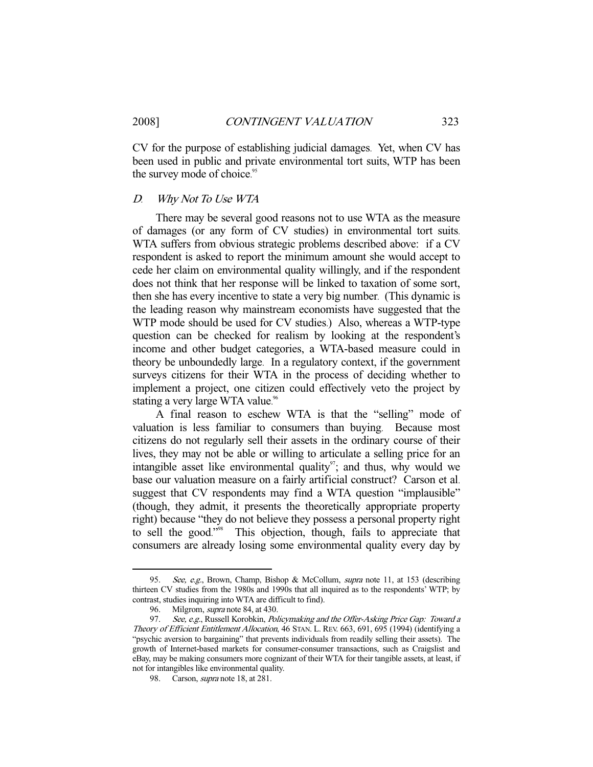CV for the purpose of establishing judicial damages. Yet, when CV has been used in public and private environmental tort suits, WTP has been the survey mode of choice.<sup>95</sup>

#### D. Why Not To Use WTA

There may be several good reasons not to use WTA as the measure of damages (or any form of CV studies) in environmental tort suits. WTA suffers from obvious strategic problems described above: if a CV respondent is asked to report the minimum amount she would accept to cede her claim on environmental quality willingly, and if the respondent does not think that her response will be linked to taxation of some sort, then she has every incentive to state a very big number. (This dynamic is the leading reason why mainstream economists have suggested that the WTP mode should be used for CV studies.) Also, whereas a WTP-type question can be checked for realism by looking at the respondent's income and other budget categories, a WTA-based measure could in theory be unboundedly large. In a regulatory context, if the government surveys citizens for their WTA in the process of deciding whether to implement a project, one citizen could effectively veto the project by stating a very large WTA value.<sup>96</sup>

A final reason to eschew WTA is that the "selling" mode of valuation is less familiar to consumers than buying. Because most citizens do not regularly sell their assets in the ordinary course of their lives, they may not be able or willing to articulate a selling price for an intangible asset like environmental quality<sup>97</sup>; and thus, why would we base our valuation measure on a fairly artificial construct? Carson et al. suggest that CV respondents may find a WTA question "implausible" (though, they admit, it presents the theoretically appropriate property right) because "they do not believe they possess a personal property right to sell the good." 98 This objection, though, fails to appreciate that consumers are already losing some environmental quality every day by

<sup>95.</sup> See, e.g., Brown, Champ, Bishop & McCollum, supra note 11, at 153 (describing thirteen CV studies from the 1980s and 1990s that all inquired as to the respondents' WTP; by contrast, studies inquiring into WTA are difficult to find).

<sup>96.</sup> Milgrom, *supra* note 84, at 430.

<sup>97.</sup> See, e.g., Russell Korobkin, Policymaking and the Offer-Asking Price Gap: Toward a Theory of Efficient Entitlement Allocation, 46 STAN. L. REV. 663, 691, 695 (1994) (identifying a "psychic aversion to bargaining" that prevents individuals from readily selling their assets). The growth of Internet-based markets for consumer-consumer transactions, such as Craigslist and eBay, may be making consumers more cognizant of their WTA for their tangible assets, at least, if not for intangibles like environmental quality.

<sup>98.</sup> Carson, *supra* note 18, at 281.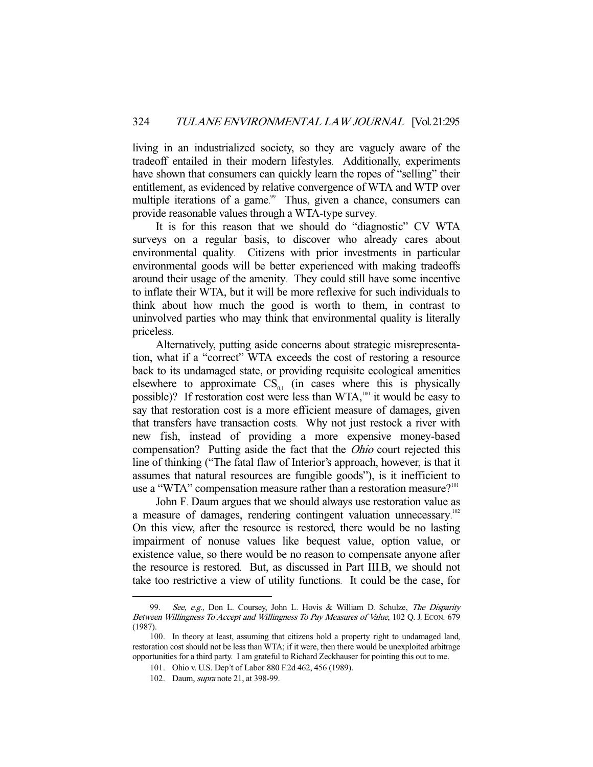living in an industrialized society, so they are vaguely aware of the tradeoff entailed in their modern lifestyles. Additionally, experiments have shown that consumers can quickly learn the ropes of "selling" their entitlement, as evidenced by relative convergence of WTA and WTP over multiple iterations of a game.<sup>99</sup> Thus, given a chance, consumers can provide reasonable values through a WTA-type survey.

It is for this reason that we should do "diagnostic" CV WTA surveys on a regular basis, to discover who already cares about environmental quality. Citizens with prior investments in particular environmental goods will be better experienced with making tradeoffs around their usage of the amenity. They could still have some incentive to inflate their WTA, but it will be more reflexive for such individuals to think about how much the good is worth to them, in contrast to uninvolved parties who may think that environmental quality is literally priceless.

Alternatively, putting aside concerns about strategic misrepresentation, what if a "correct" WTA exceeds the cost of restoring a resource back to its undamaged state, or providing requisite ecological amenities elsewhere to approximate  $CS_{0,1}$  (in cases where this is physically possible)? If restoration cost were less than WTA,<sup>100</sup> it would be easy to say that restoration cost is a more efficient measure of damages, given that transfers have transaction costs. Why not just restock a river with new fish, instead of providing a more expensive money-based compensation? Putting aside the fact that the Ohio court rejected this line of thinking ("The fatal flaw of Interior's approach, however, is that it assumes that natural resources are fungible goods"), is it inefficient to use a "WTA" compensation measure rather than a restoration measure?<sup>101</sup>

John F. Daum argues that we should always use restoration value as a measure of damages, rendering contingent valuation unnecessary.<sup>102</sup> On this view, after the resource is restored, there would be no lasting impairment of nonuse values like bequest value, option value, or existence value, so there would be no reason to compensate anyone after the resource is restored. But, as discussed in Part III.B, we should not take too restrictive a view of utility functions. It could be the case, for

<sup>99.</sup> See, e.g., Don L. Coursey, John L. Hovis & William D. Schulze, The Disparity Between Willingness To Accept and Willingness To Pay Measures of Value, 102 Q. J. ECON. 679 (1987).

 <sup>100.</sup> In theory at least, assuming that citizens hold a property right to undamaged land, restoration cost should not be less than WTA; if it were, then there would be unexploited arbitrage opportunities for a third party. I am grateful to Richard Zeckhauser for pointing this out to me.

<sup>101.</sup> Ohio v. U.S. Dep't of Labor 880 F.2d 462, 456 (1989).

 <sup>102.</sup> Daum, supra note 21, at 398-99.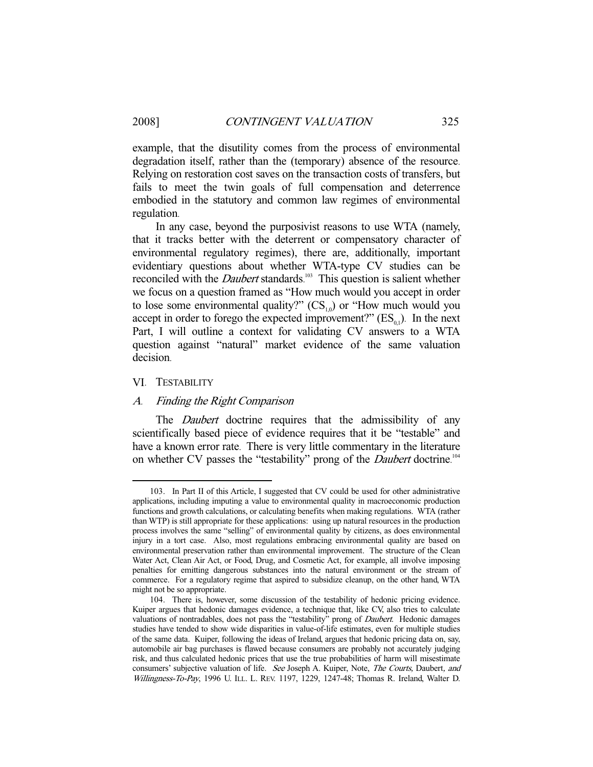example, that the disutility comes from the process of environmental degradation itself, rather than the (temporary) absence of the resource. Relying on restoration cost saves on the transaction costs of transfers, but fails to meet the twin goals of full compensation and deterrence embodied in the statutory and common law regimes of environmental regulation.

In any case, beyond the purposivist reasons to use WTA (namely, that it tracks better with the deterrent or compensatory character of environmental regulatory regimes), there are, additionally, important evidentiary questions about whether WTA-type CV studies can be reconciled with the *Daubert* standards.<sup>103</sup> This question is salient whether we focus on a question framed as "How much would you accept in order to lose some environmental quality?"  $(CS_{10})$  or "How much would you accept in order to forego the expected improvement?"  $(ES_{0.1})$ . In the next Part, I will outline a context for validating CV answers to a WTA question against "natural" market evidence of the same valuation decision.

#### VI. TESTABILITY

-

#### A. Finding the Right Comparison

The *Daubert* doctrine requires that the admissibility of any scientifically based piece of evidence requires that it be "testable" and have a known error rate. There is very little commentary in the literature on whether CV passes the "testability" prong of the *Daubert* doctrine.<sup>104</sup>

 <sup>103.</sup> In Part II of this Article, I suggested that CV could be used for other administrative applications, including imputing a value to environmental quality in macroeconomic production functions and growth calculations, or calculating benefits when making regulations. WTA (rather than WTP) is still appropriate for these applications: using up natural resources in the production process involves the same "selling" of environmental quality by citizens, as does environmental injury in a tort case. Also, most regulations embracing environmental quality are based on environmental preservation rather than environmental improvement. The structure of the Clean Water Act, Clean Air Act, or Food, Drug, and Cosmetic Act, for example, all involve imposing penalties for emitting dangerous substances into the natural environment or the stream of commerce. For a regulatory regime that aspired to subsidize cleanup, on the other hand, WTA might not be so appropriate.

 <sup>104.</sup> There is, however, some discussion of the testability of hedonic pricing evidence. Kuiper argues that hedonic damages evidence, a technique that, like CV, also tries to calculate valuations of nontradables, does not pass the "testability" prong of Daubert. Hedonic damages studies have tended to show wide disparities in value-of-life estimates, even for multiple studies of the same data. Kuiper, following the ideas of Ireland, argues that hedonic pricing data on, say, automobile air bag purchases is flawed because consumers are probably not accurately judging risk, and thus calculated hedonic prices that use the true probabilities of harm will misestimate consumers' subjective valuation of life. See Joseph A. Kuiper, Note, The Courts, Daubert, and Willingness-To-Pay, 1996 U. ILL. L. REV. 1197, 1229, 1247-48; Thomas R. Ireland, Walter D.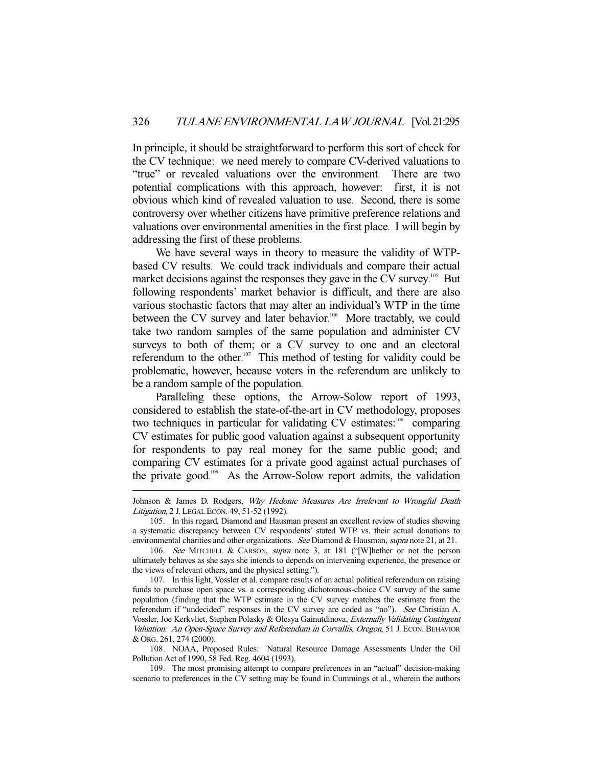In principle, it should be straightforward to perform this sort of check for the CV technique: we need merely to compare CV-derived valuations to "true" or revealed valuations over the environment. There are two potential complications with this approach, however: first, it is not obvious which kind of revealed valuation to use. Second, there is some controversy over whether citizens have primitive preference relations and valuations over environmental amenities in the first place. I will begin by addressing the first of these problems.

We have several ways in theory to measure the validity of WTPbased CV results. We could track individuals and compare their actual market decisions against the responses they gave in the CV survey.<sup>105</sup> But following respondents' market behavior is difficult, and there are also various stochastic factors that may alter an individual's WTP in the time between the CV survey and later behavior.<sup>106</sup> More tractably, we could take two random samples of the same population and administer CV surveys to both of them; or a CV survey to one and an electoral referendum to the other.<sup>107</sup> This method of testing for validity could be problematic, however, because voters in the referendum are unlikely to be a random sample of the population.

Paralleling these options, the Arrow-Solow report of 1993, considered to establish the state-of-the-art in CV methodology, proposes two techniques in particular for validating CV estimates:<sup>108</sup> comparing CV estimates for public good valuation against a subsequent opportunity for respondents to pay real money for the same public good; and comparing CV estimates for a private good against actual purchases of the private good. 109 As the Arrow-Solow report admits, the validation

Johnson & James D. Rodgers, Why Hedonic Measures Are Irrelevant to Wrongful Death Litigation, 2 J. LEGAL ECON. 49, 51-52 (1992).

 <sup>105.</sup> In this regard, Diamond and Hausman present an excellent review of studies showing a systematic discrepancy between CV respondents' stated WTP vs. their actual donations to environmental charities and other organizations. See Diamond & Hausman, supra note 21, at 21.

<sup>106.</sup> See MITCHELL & CARSON, supra note 3, at 181 ("[W]hether or not the person ultimately behaves as she says she intends to depends on intervening experience, the presence or the views of relevant others, and the physical setting.").

 <sup>107.</sup> In this light, Vossler et al. compare results of an actual political referendum on raising funds to purchase open space vs. a corresponding dichotomous-choice CV survey of the same population (finding that the WTP estimate in the CV survey matches the estimate from the referendum if "undecided" responses in the CV survey are coded as "no"). See Christian A. Vossler, Joe Kerkvliet, Stephen Polasky & Olesya Gainutdinova, Externally Validating Contingent Valuation: An Open-Space Survey and Referendum in Corvallis, Oregon, 51 J. ECON. BEHAVIOR & ORG. 261, 274 (2000).

 <sup>108.</sup> NOAA, Proposed Rules: Natural Resource Damage Assessments Under the Oil Pollution Act of 1990, 58 Fed. Reg. 4604 (1993).

 <sup>109.</sup> The most promising attempt to compare preferences in an "actual" decision-making scenario to preferences in the CV setting may be found in Cummings et al., wherein the authors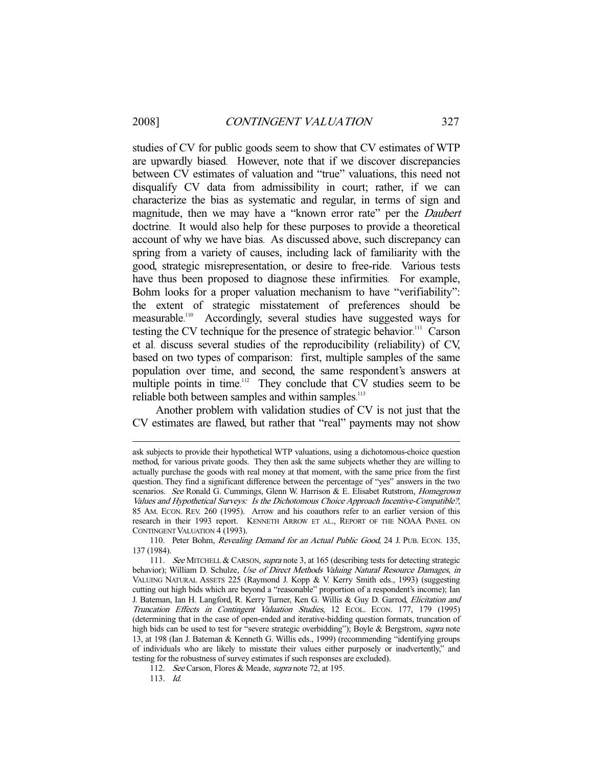-

studies of CV for public goods seem to show that CV estimates of WTP are upwardly biased. However, note that if we discover discrepancies between CV estimates of valuation and "true" valuations, this need not disqualify CV data from admissibility in court; rather, if we can characterize the bias as systematic and regular, in terms of sign and magnitude, then we may have a "known error rate" per the *Daubert* doctrine. It would also help for these purposes to provide a theoretical account of why we have bias. As discussed above, such discrepancy can spring from a variety of causes, including lack of familiarity with the good, strategic misrepresentation, or desire to free-ride. Various tests have thus been proposed to diagnose these infirmities. For example, Bohm looks for a proper valuation mechanism to have "verifiability": the extent of strategic misstatement of preferences should be measurable.<sup>110</sup> Accordingly, several studies have suggested ways for testing the CV technique for the presence of strategic behavior.<sup>111</sup> Carson et al. discuss several studies of the reproducibility (reliability) of CV, based on two types of comparison: first, multiple samples of the same population over time, and second, the same respondent's answers at multiple points in time.<sup>112</sup> They conclude that CV studies seem to be reliable both between samples and within samples.<sup>113</sup>

Another problem with validation studies of CV is not just that the CV estimates are flawed, but rather that "real" payments may not show

ask subjects to provide their hypothetical WTP valuations, using a dichotomous-choice question method, for various private goods. They then ask the same subjects whether they are willing to actually purchase the goods with real money at that moment, with the same price from the first question. They find a significant difference between the percentage of "yes" answers in the two scenarios. See Ronald G. Cummings, Glenn W. Harrison & E. Elisabet Rutstrom, Homegrown Values and Hypothetical Surveys: Is the Dichotomous Choice Approach Incentive-Compatible?, 85 AM. ECON. REV. 260 (1995). Arrow and his coauthors refer to an earlier version of this research in their 1993 report. KENNETH ARROW ET AL., REPORT OF THE NOAA PANEL ON CONTINGENT VALUATION 4 (1993).

 <sup>110.</sup> Peter Bohm, Revealing Demand for an Actual Public Good, 24 J. PUB. ECON. 135, 137 (1984).

<sup>111.</sup> See MITCHELL & CARSON, *supra* note 3, at 165 (describing tests for detecting strategic behavior); William D. Schulze, Use of Direct Methods Valuing Natural Resource Damages, in VALUING NATURAL ASSETS 225 (Raymond J. Kopp & V. Kerry Smith eds., 1993) (suggesting cutting out high bids which are beyond a "reasonable" proportion of a respondent's income); Ian J. Bateman, Ian H. Langford, R. Kerry Turner, Ken G. Willis & Guy D. Garrod, Elicitation and Truncation Effects in Contingent Valuation Studies, 12 ECOL. ECON. 177, 179 (1995) (determining that in the case of open-ended and iterative-bidding question formats, truncation of high bids can be used to test for "severe strategic overbidding"); Boyle & Bergstrom, supra note 13, at 198 (Ian J. Bateman & Kenneth G. Willis eds., 1999) (recommending "identifying groups of individuals who are likely to misstate their values either purposely or inadvertently," and testing for the robustness of survey estimates if such responses are excluded).

<sup>112.</sup> See Carson, Flores & Meade, supra note 72, at 195.

 <sup>113.</sup> Id.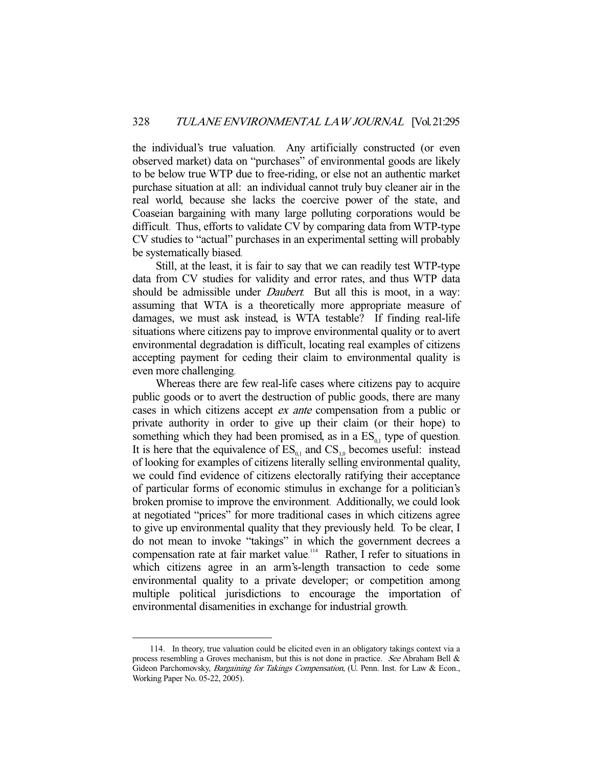the individual's true valuation. Any artificially constructed (or even observed market) data on "purchases" of environmental goods are likely to be below true WTP due to free-riding, or else not an authentic market purchase situation at all: an individual cannot truly buy cleaner air in the real world, because she lacks the coercive power of the state, and Coaseian bargaining with many large polluting corporations would be difficult. Thus, efforts to validate CV by comparing data from WTP-type CV studies to "actual" purchases in an experimental setting will probably be systematically biased.

Still, at the least, it is fair to say that we can readily test WTP-type data from CV studies for validity and error rates, and thus WTP data should be admissible under *Daubert*. But all this is moot, in a way: assuming that WTA is a theoretically more appropriate measure of damages, we must ask instead, is WTA testable? If finding real-life situations where citizens pay to improve environmental quality or to avert environmental degradation is difficult, locating real examples of citizens accepting payment for ceding their claim to environmental quality is even more challenging.

Whereas there are few real-life cases where citizens pay to acquire public goods or to avert the destruction of public goods, there are many cases in which citizens accept ex ante compensation from a public or private authority in order to give up their claim (or their hope) to something which they had been promised, as in a  $ES_{01}$  type of question. It is here that the equivalence of  $ES_{0,1}$  and  $CS_{1,0}$  becomes useful: instead of looking for examples of citizens literally selling environmental quality, we could find evidence of citizens electorally ratifying their acceptance of particular forms of economic stimulus in exchange for a politician's broken promise to improve the environment. Additionally, we could look at negotiated "prices" for more traditional cases in which citizens agree to give up environmental quality that they previously held. To be clear, I do not mean to invoke "takings" in which the government decrees a compensation rate at fair market value.<sup>114</sup> Rather, I refer to situations in which citizens agree in an arm's-length transaction to cede some environmental quality to a private developer; or competition among multiple political jurisdictions to encourage the importation of environmental disamenities in exchange for industrial growth.

 <sup>114.</sup> In theory, true valuation could be elicited even in an obligatory takings context via a process resembling a Groves mechanism, but this is not done in practice. See Abraham Bell & Gideon Parchomovsky, Bargaining for Takings Compensation, (U. Penn. Inst. for Law & Econ., Working Paper No. 05-22, 2005).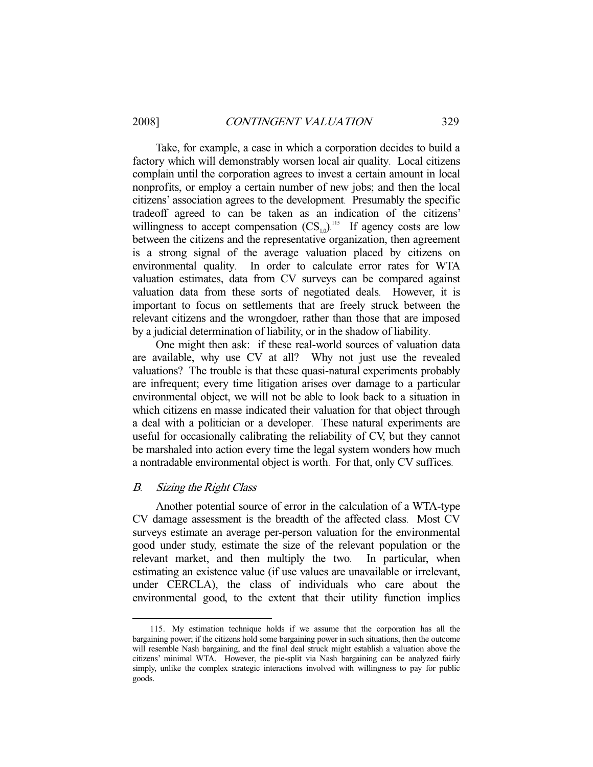Take, for example, a case in which a corporation decides to build a factory which will demonstrably worsen local air quality. Local citizens complain until the corporation agrees to invest a certain amount in local nonprofits, or employ a certain number of new jobs; and then the local citizens' association agrees to the development. Presumably the specific tradeoff agreed to can be taken as an indication of the citizens' willingness to accept compensation  $\text{CS}_{1,0}$ ).<sup>115</sup> If agency costs are low between the citizens and the representative organization, then agreement is a strong signal of the average valuation placed by citizens on environmental quality. In order to calculate error rates for WTA valuation estimates, data from CV surveys can be compared against valuation data from these sorts of negotiated deals. However, it is important to focus on settlements that are freely struck between the relevant citizens and the wrongdoer, rather than those that are imposed by a judicial determination of liability, or in the shadow of liability.

One might then ask: if these real-world sources of valuation data are available, why use CV at all? Why not just use the revealed valuations? The trouble is that these quasi-natural experiments probably are infrequent; every time litigation arises over damage to a particular environmental object, we will not be able to look back to a situation in which citizens en masse indicated their valuation for that object through a deal with a politician or a developer. These natural experiments are useful for occasionally calibrating the reliability of CV, but they cannot be marshaled into action every time the legal system wonders how much a nontradable environmental object is worth. For that, only CV suffices.

#### B. Sizing the Right Class

-

Another potential source of error in the calculation of a WTA-type CV damage assessment is the breadth of the affected class. Most CV surveys estimate an average per-person valuation for the environmental good under study, estimate the size of the relevant population or the relevant market, and then multiply the two. In particular, when estimating an existence value (if use values are unavailable or irrelevant, under CERCLA), the class of individuals who care about the environmental good, to the extent that their utility function implies

 <sup>115.</sup> My estimation technique holds if we assume that the corporation has all the bargaining power; if the citizens hold some bargaining power in such situations, then the outcome will resemble Nash bargaining, and the final deal struck might establish a valuation above the citizens' minimal WTA. However, the pie-split via Nash bargaining can be analyzed fairly simply, unlike the complex strategic interactions involved with willingness to pay for public goods.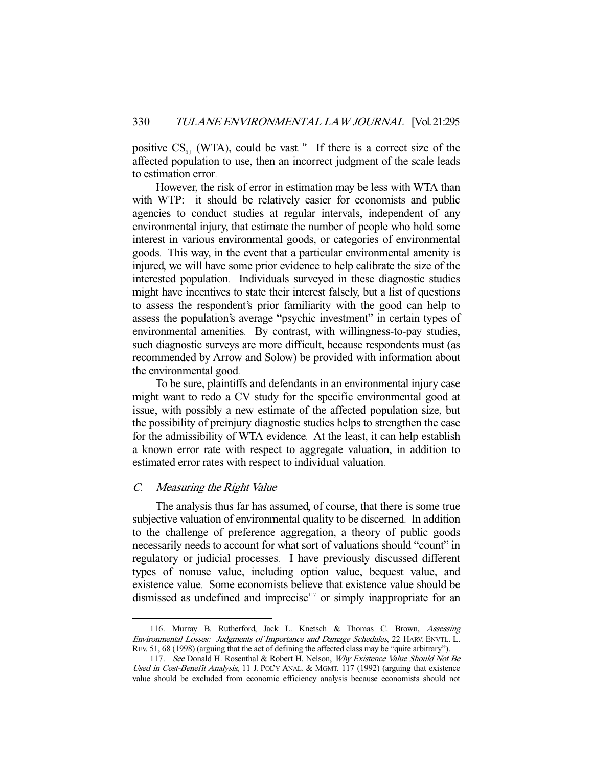positive  $CS_{0,1}$  (WTA), could be vast.<sup>116</sup> If there is a correct size of the affected population to use, then an incorrect judgment of the scale leads to estimation error.

However, the risk of error in estimation may be less with WTA than with WTP: it should be relatively easier for economists and public agencies to conduct studies at regular intervals, independent of any environmental injury, that estimate the number of people who hold some interest in various environmental goods, or categories of environmental goods. This way, in the event that a particular environmental amenity is injured, we will have some prior evidence to help calibrate the size of the interested population. Individuals surveyed in these diagnostic studies might have incentives to state their interest falsely, but a list of questions to assess the respondent's prior familiarity with the good can help to assess the population's average "psychic investment" in certain types of environmental amenities. By contrast, with willingness-to-pay studies, such diagnostic surveys are more difficult, because respondents must (as recommended by Arrow and Solow) be provided with information about the environmental good.

To be sure, plaintiffs and defendants in an environmental injury case might want to redo a CV study for the specific environmental good at issue, with possibly a new estimate of the affected population size, but the possibility of preinjury diagnostic studies helps to strengthen the case for the admissibility of WTA evidence. At the least, it can help establish a known error rate with respect to aggregate valuation, in addition to estimated error rates with respect to individual valuation.

## C. Measuring the Right Value

-

The analysis thus far has assumed, of course, that there is some true subjective valuation of environmental quality to be discerned. In addition to the challenge of preference aggregation, a theory of public goods necessarily needs to account for what sort of valuations should "count" in regulatory or judicial processes. I have previously discussed different types of nonuse value, including option value, bequest value, and existence value. Some economists believe that existence value should be dismissed as undefined and imprecise<sup>117</sup> or simply inappropriate for an

 <sup>116.</sup> Murray B. Rutherford, Jack L. Knetsch & Thomas C. Brown, Assessing Environmental Losses: Judgments of Importance and Damage Schedules, 22 HARV. ENVTL. L. REV. 51, 68 (1998) (arguing that the act of defining the affected class may be "quite arbitrary").

<sup>117.</sup> See Donald H. Rosenthal & Robert H. Nelson, Why Existence Value Should Not Be Used in Cost-Benefit Analysis, 11 J. POL'Y ANAL. & MGMT. 117 (1992) (arguing that existence value should be excluded from economic efficiency analysis because economists should not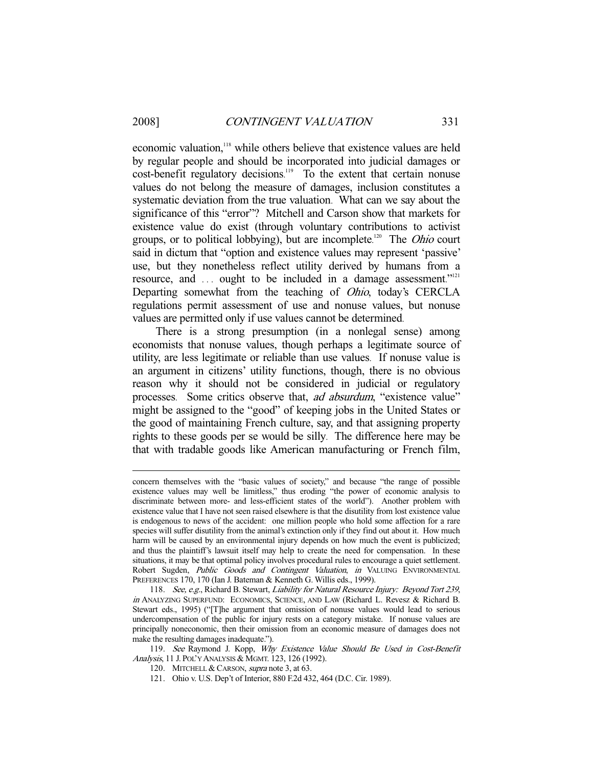-

economic valuation,<sup>118</sup> while others believe that existence values are held by regular people and should be incorporated into judicial damages or cost-benefit regulatory decisions.<sup>119</sup> To the extent that certain nonuse values do not belong the measure of damages, inclusion constitutes a systematic deviation from the true valuation. What can we say about the significance of this "error"? Mitchell and Carson show that markets for existence value do exist (through voluntary contributions to activist groups, or to political lobbying), but are incomplete.<sup>120</sup> The *Ohio* court said in dictum that "option and existence values may represent 'passive' use, but they nonetheless reflect utility derived by humans from a resource, and ... ought to be included in a damage assessment."<sup>121</sup> Departing somewhat from the teaching of Ohio, today's CERCLA regulations permit assessment of use and nonuse values, but nonuse values are permitted only if use values cannot be determined.

There is a strong presumption (in a nonlegal sense) among economists that nonuse values, though perhaps a legitimate source of utility, are less legitimate or reliable than use values. If nonuse value is an argument in citizens' utility functions, though, there is no obvious reason why it should not be considered in judicial or regulatory processes. Some critics observe that, *ad absurdum*, "existence value" might be assigned to the "good" of keeping jobs in the United States or the good of maintaining French culture, say, and that assigning property rights to these goods per se would be silly. The difference here may be that with tradable goods like American manufacturing or French film,

concern themselves with the "basic values of society," and because "the range of possible existence values may well be limitless," thus eroding "the power of economic analysis to discriminate between more- and less-efficient states of the world"). Another problem with existence value that I have not seen raised elsewhere is that the disutility from lost existence value is endogenous to news of the accident: one million people who hold some affection for a rare species will suffer disutility from the animal's extinction only if they find out about it. How much harm will be caused by an environmental injury depends on how much the event is publicized; and thus the plaintiff's lawsuit itself may help to create the need for compensation. In these situations, it may be that optimal policy involves procedural rules to encourage a quiet settlement. Robert Sugden, Public Goods and Contingent Valuation, in VALUING ENVIRONMENTAL PREFERENCES 170, 170 (Ian J. Bateman & Kenneth G. Willis eds., 1999).

<sup>118.</sup> See, e.g., Richard B. Stewart, Liability for Natural Resource Injury: Beyond Tort 239, in ANALYZING SUPERFUND: ECONOMICS, SCIENCE, AND LAW (Richard L. Revesz & Richard B. Stewart eds., 1995) ("[T]he argument that omission of nonuse values would lead to serious undercompensation of the public for injury rests on a category mistake. If nonuse values are principally noneconomic, then their omission from an economic measure of damages does not make the resulting damages inadequate.").

<sup>119.</sup> See Raymond J. Kopp, Why Existence Value Should Be Used in Cost-Benefit Analysis, 11 J. POL'Y ANALYSIS & MGMT. 123, 126 (1992).

<sup>120.</sup> MITCHELL & CARSON, *supra* note 3, at 63.

 <sup>121.</sup> Ohio v. U.S. Dep't of Interior, 880 F.2d 432, 464 (D.C. Cir. 1989).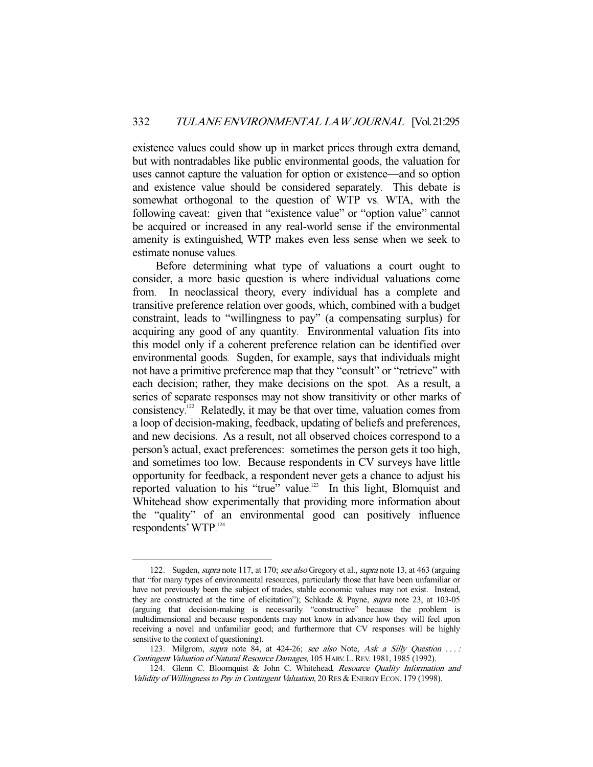existence values could show up in market prices through extra demand, but with nontradables like public environmental goods, the valuation for uses cannot capture the valuation for option or existence—and so option and existence value should be considered separately. This debate is somewhat orthogonal to the question of WTP vs. WTA, with the following caveat: given that "existence value" or "option value" cannot be acquired or increased in any real-world sense if the environmental amenity is extinguished, WTP makes even less sense when we seek to estimate nonuse values.

Before determining what type of valuations a court ought to consider, a more basic question is where individual valuations come from. In neoclassical theory, every individual has a complete and transitive preference relation over goods, which, combined with a budget constraint, leads to "willingness to pay" (a compensating surplus) for acquiring any good of any quantity. Environmental valuation fits into this model only if a coherent preference relation can be identified over environmental goods. Sugden, for example, says that individuals might not have a primitive preference map that they "consult" or "retrieve" with each decision; rather, they make decisions on the spot. As a result, a series of separate responses may not show transitivity or other marks of consistency. 122 Relatedly, it may be that over time, valuation comes from a loop of decision-making, feedback, updating of beliefs and preferences, and new decisions. As a result, not all observed choices correspond to a person's actual, exact preferences: sometimes the person gets it too high, and sometimes too low. Because respondents in CV surveys have little opportunity for feedback, a respondent never gets a chance to adjust his reported valuation to his "true" value.<sup>123</sup> In this light, Blomquist and Whitehead show experimentally that providing more information about the "quality" of an environmental good can positively influence respondents' WTP. 124

<sup>122.</sup> Sugden, *supra* note 117, at 170; see also Gregory et al., *supra* note 13, at 463 (arguing that "for many types of environmental resources, particularly those that have been unfamiliar or have not previously been the subject of trades, stable economic values may not exist. Instead, they are constructed at the time of elicitation"); Schkade & Payne, supra note 23, at 103-05 (arguing that decision-making is necessarily "constructive" because the problem is multidimensional and because respondents may not know in advance how they will feel upon receiving a novel and unfamiliar good; and furthermore that CV responses will be highly sensitive to the context of questioning).

<sup>123.</sup> Milgrom, supra note 84, at 424-26; see also Note, Ask a Silly Question ...: Contingent Valuation of Natural Resource Damages, 105 HARV. L.REV. 1981, 1985 (1992).

<sup>124.</sup> Glenn C. Bloomquist & John C. Whitehead, Resource Quality Information and Validity of Willingness to Pay in Contingent Valuation, 20 RES & ENERGY ECON. 179 (1998).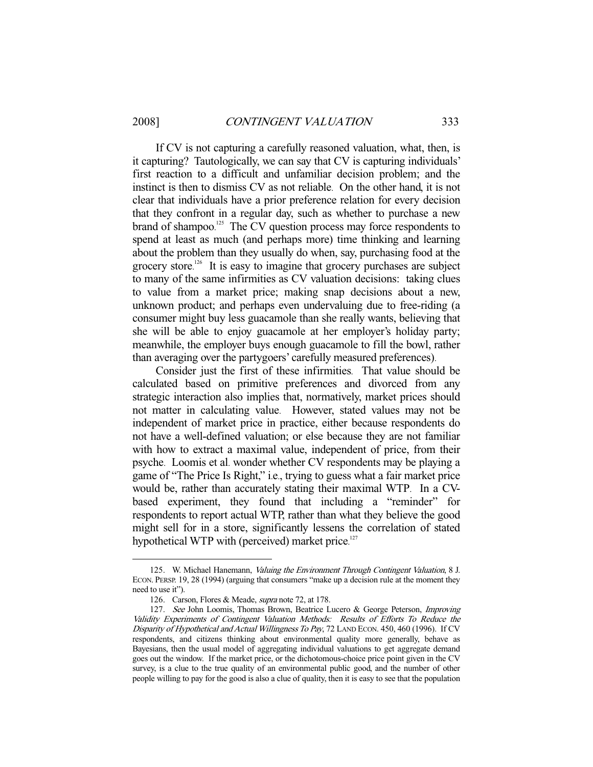-

If CV is not capturing a carefully reasoned valuation, what, then, is it capturing? Tautologically, we can say that CV is capturing individuals' first reaction to a difficult and unfamiliar decision problem; and the instinct is then to dismiss CV as not reliable. On the other hand, it is not clear that individuals have a prior preference relation for every decision that they confront in a regular day, such as whether to purchase a new brand of shampoo.<sup>125</sup> The CV question process may force respondents to spend at least as much (and perhaps more) time thinking and learning about the problem than they usually do when, say, purchasing food at the grocery store.<sup>126</sup> It is easy to imagine that grocery purchases are subject to many of the same infirmities as CV valuation decisions: taking clues to value from a market price; making snap decisions about a new, unknown product; and perhaps even undervaluing due to free-riding (a consumer might buy less guacamole than she really wants, believing that she will be able to enjoy guacamole at her employer's holiday party; meanwhile, the employer buys enough guacamole to fill the bowl, rather than averaging over the partygoers' carefully measured preferences).

Consider just the first of these infirmities. That value should be calculated based on primitive preferences and divorced from any strategic interaction also implies that, normatively, market prices should not matter in calculating value. However, stated values may not be independent of market price in practice, either because respondents do not have a well-defined valuation; or else because they are not familiar with how to extract a maximal value, independent of price, from their psyche. Loomis et al. wonder whether CV respondents may be playing a game of "The Price Is Right," i.e., trying to guess what a fair market price would be, rather than accurately stating their maximal WTP. In a CVbased experiment, they found that including a "reminder" for respondents to report actual WTP, rather than what they believe the good might sell for in a store, significantly lessens the correlation of stated hypothetical WTP with (perceived) market price.<sup>127</sup>

 <sup>125.</sup> W. Michael Hanemann, Valuing the Environment Through Contingent Valuation, 8 J. ECON. PERSP. 19, 28 (1994) (arguing that consumers "make up a decision rule at the moment they need to use it").

 <sup>126.</sup> Carson, Flores & Meade, supra note 72, at 178.

<sup>127.</sup> See John Loomis, Thomas Brown, Beatrice Lucero & George Peterson, *Improving* Validity Experiments of Contingent Valuation Methods: Results of Efforts To Reduce the Disparity of Hypothetical and Actual Willingness To Pay, 72 LAND ECON. 450, 460 (1996). If CV respondents, and citizens thinking about environmental quality more generally, behave as Bayesians, then the usual model of aggregating individual valuations to get aggregate demand goes out the window. If the market price, or the dichotomous-choice price point given in the CV survey, is a clue to the true quality of an environmental public good, and the number of other people willing to pay for the good is also a clue of quality, then it is easy to see that the population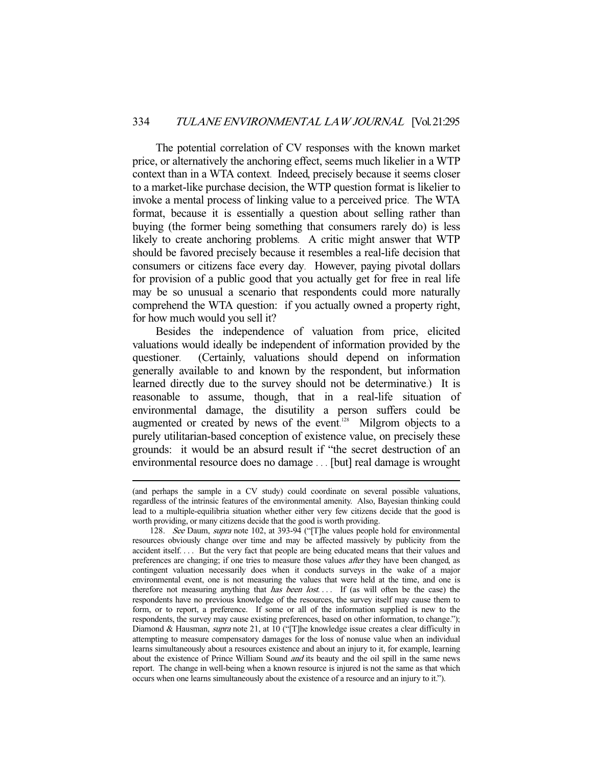The potential correlation of CV responses with the known market price, or alternatively the anchoring effect, seems much likelier in a WTP context than in a WTA context. Indeed, precisely because it seems closer to a market-like purchase decision, the WTP question format is likelier to invoke a mental process of linking value to a perceived price. The WTA format, because it is essentially a question about selling rather than buying (the former being something that consumers rarely do) is less likely to create anchoring problems. A critic might answer that WTP should be favored precisely because it resembles a real-life decision that consumers or citizens face every day. However, paying pivotal dollars for provision of a public good that you actually get for free in real life may be so unusual a scenario that respondents could more naturally comprehend the WTA question: if you actually owned a property right, for how much would you sell it?

Besides the independence of valuation from price, elicited valuations would ideally be independent of information provided by the questioner. (Certainly, valuations should depend on information generally available to and known by the respondent, but information learned directly due to the survey should not be determinative.) It is reasonable to assume, though, that in a real-life situation of environmental damage, the disutility a person suffers could be augmented or created by news of the event. 128 Milgrom objects to a purely utilitarian-based conception of existence value, on precisely these grounds: it would be an absurd result if "the secret destruction of an environmental resource does no damage . . . [but] real damage is wrought

<sup>(</sup>and perhaps the sample in a CV study) could coordinate on several possible valuations, regardless of the intrinsic features of the environmental amenity. Also, Bayesian thinking could lead to a multiple-equilibria situation whether either very few citizens decide that the good is worth providing, or many citizens decide that the good is worth providing.

<sup>128.</sup> See Daum, supra note 102, at 393-94 ("[T]he values people hold for environmental resources obviously change over time and may be affected massively by publicity from the accident itself. . . . But the very fact that people are being educated means that their values and preferences are changing; if one tries to measure those values *after* they have been changed, as contingent valuation necessarily does when it conducts surveys in the wake of a major environmental event, one is not measuring the values that were held at the time, and one is therefore not measuring anything that *has been lost*.... If (as will often be the case) the respondents have no previous knowledge of the resources, the survey itself may cause them to form, or to report, a preference. If some or all of the information supplied is new to the respondents, the survey may cause existing preferences, based on other information, to change."); Diamond & Hausman, *supra* note 21, at 10 ("[T]he knowledge issue creates a clear difficulty in attempting to measure compensatory damages for the loss of nonuse value when an individual learns simultaneously about a resources existence and about an injury to it, for example, learning about the existence of Prince William Sound and its beauty and the oil spill in the same news report. The change in well-being when a known resource is injured is not the same as that which occurs when one learns simultaneously about the existence of a resource and an injury to it.").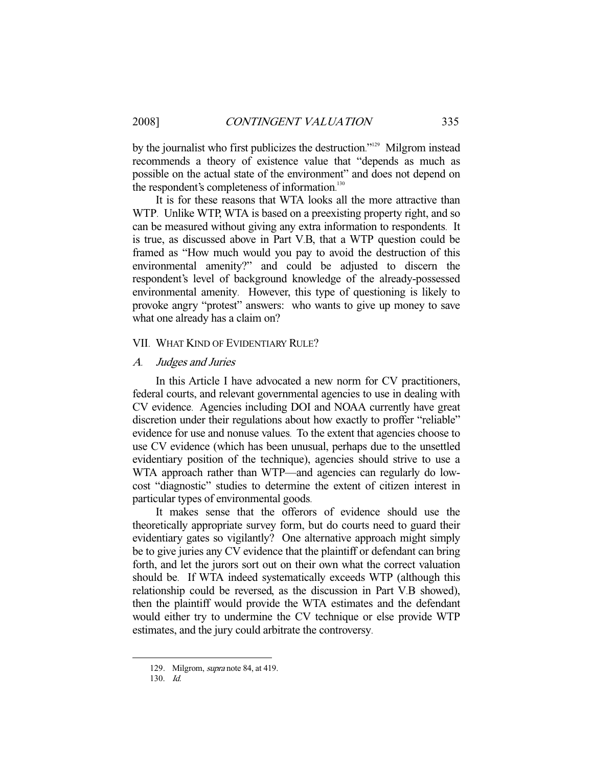by the journalist who first publicizes the destruction."<sup>129</sup> Milgrom instead recommends a theory of existence value that "depends as much as possible on the actual state of the environment" and does not depend on the respondent's completeness of information.<sup>130</sup>

It is for these reasons that WTA looks all the more attractive than WTP. Unlike WTP, WTA is based on a preexisting property right, and so can be measured without giving any extra information to respondents. It is true, as discussed above in Part V.B, that a WTP question could be framed as "How much would you pay to avoid the destruction of this environmental amenity?" and could be adjusted to discern the respondent's level of background knowledge of the already-possessed environmental amenity. However, this type of questioning is likely to provoke angry "protest" answers: who wants to give up money to save what one already has a claim on?

#### VII. WHAT KIND OF EVIDENTIARY RULE?

#### A. Judges and Juries

In this Article I have advocated a new norm for CV practitioners, federal courts, and relevant governmental agencies to use in dealing with CV evidence. Agencies including DOI and NOAA currently have great discretion under their regulations about how exactly to proffer "reliable" evidence for use and nonuse values. To the extent that agencies choose to use CV evidence (which has been unusual, perhaps due to the unsettled evidentiary position of the technique), agencies should strive to use a WTA approach rather than WTP—and agencies can regularly do lowcost "diagnostic" studies to determine the extent of citizen interest in particular types of environmental goods.

It makes sense that the offerors of evidence should use the theoretically appropriate survey form, but do courts need to guard their evidentiary gates so vigilantly? One alternative approach might simply be to give juries any CV evidence that the plaintiff or defendant can bring forth, and let the jurors sort out on their own what the correct valuation should be. If WTA indeed systematically exceeds WTP (although this relationship could be reversed, as the discussion in Part V.B showed), then the plaintiff would provide the WTA estimates and the defendant would either try to undermine the CV technique or else provide WTP estimates, and the jury could arbitrate the controversy.

<sup>129.</sup> Milgrom, *supra* note 84, at 419.

 <sup>130.</sup> Id.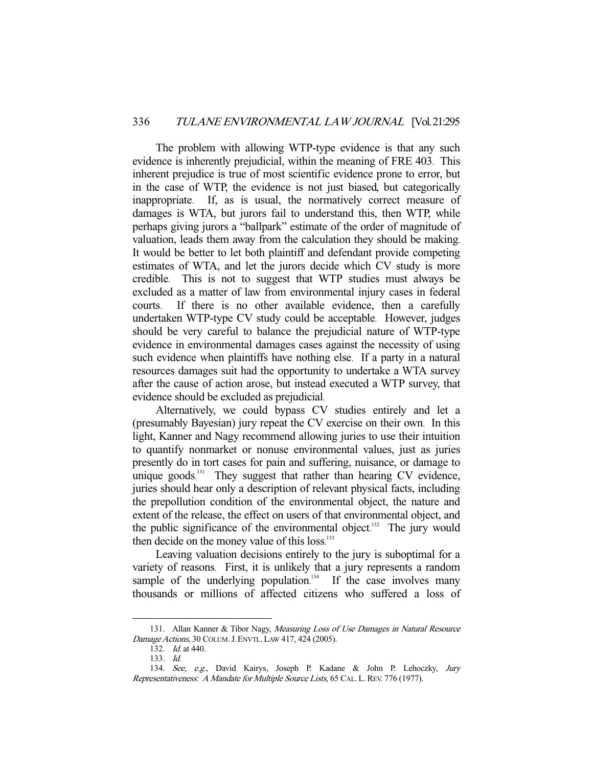The problem with allowing WTP-type evidence is that any such evidence is inherently prejudicial, within the meaning of FRE 403. This inherent prejudice is true of most scientific evidence prone to error, but in the case of WTP, the evidence is not just biased, but categorically inappropriate. If, as is usual, the normatively correct measure of damages is WTA, but jurors fail to understand this, then WTP, while perhaps giving jurors a "ballpark" estimate of the order of magnitude of valuation, leads them away from the calculation they should be making. It would be better to let both plaintiff and defendant provide competing estimates of WTA, and let the jurors decide which CV study is more credible. This is not to suggest that WTP studies must always be excluded as a matter of law from environmental injury cases in federal courts. If there is no other available evidence, then a carefully undertaken WTP-type CV study could be acceptable. However, judges should be very careful to balance the prejudicial nature of WTP-type evidence in environmental damages cases against the necessity of using such evidence when plaintiffs have nothing else. If a party in a natural resources damages suit had the opportunity to undertake a WTA survey after the cause of action arose, but instead executed a WTP survey, that evidence should be excluded as prejudicial.

Alternatively, we could bypass CV studies entirely and let a (presumably Bayesian) jury repeat the CV exercise on their own. In this light, Kanner and Nagy recommend allowing juries to use their intuition to quantify nonmarket or nonuse environmental values, just as juries presently do in tort cases for pain and suffering, nuisance, or damage to unique goods.<sup>131</sup> They suggest that rather than hearing CV evidence, juries should hear only a description of relevant physical facts, including the prepollution condition of the environmental object, the nature and extent of the release, the effect on users of that environmental object, and the public significance of the environmental object. $132$  The jury would then decide on the money value of this loss.<sup>133</sup>

Leaving valuation decisions entirely to the jury is suboptimal for a variety of reasons. First, it is unlikely that a jury represents a random sample of the underlying population.<sup>134</sup> If the case involves many thousands or millions of affected citizens who suffered a loss of

<sup>131.</sup> Allan Kanner & Tibor Nagy, Measuring Loss of Use Damages in Natural Resource Damage Actions, 30 COLUM.J.ENVTL. LAW 417, 424 (2005).

 <sup>132.</sup> Id. at 440.

 <sup>133.</sup> Id.

 <sup>134.</sup> See, e.g., David Kairys, Joseph P. Kadane & John P. Lehoczky, Jury Representativeness: A Mandate for Multiple Source Lists, 65 CAL. L.REV. 776 (1977).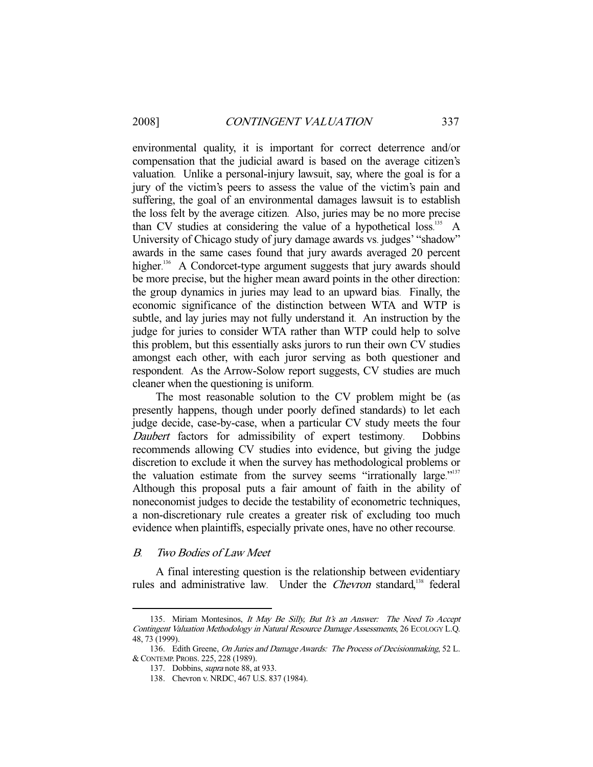environmental quality, it is important for correct deterrence and/or compensation that the judicial award is based on the average citizen's valuation. Unlike a personal-injury lawsuit, say, where the goal is for a jury of the victim's peers to assess the value of the victim's pain and suffering, the goal of an environmental damages lawsuit is to establish the loss felt by the average citizen. Also, juries may be no more precise than CV studies at considering the value of a hypothetical loss.<sup>135</sup> A University of Chicago study of jury damage awards vs. judges' "shadow" awards in the same cases found that jury awards averaged 20 percent higher.<sup>136</sup> A Condorcet-type argument suggests that jury awards should be more precise, but the higher mean award points in the other direction: the group dynamics in juries may lead to an upward bias. Finally, the economic significance of the distinction between WTA and WTP is subtle, and lay juries may not fully understand it. An instruction by the judge for juries to consider WTA rather than WTP could help to solve this problem, but this essentially asks jurors to run their own CV studies amongst each other, with each juror serving as both questioner and respondent. As the Arrow-Solow report suggests, CV studies are much cleaner when the questioning is uniform.

The most reasonable solution to the CV problem might be (as presently happens, though under poorly defined standards) to let each judge decide, case-by-case, when a particular CV study meets the four Daubert factors for admissibility of expert testimony. Dobbins recommends allowing CV studies into evidence, but giving the judge discretion to exclude it when the survey has methodological problems or the valuation estimate from the survey seems "irrationally large."<sup>137</sup> Although this proposal puts a fair amount of faith in the ability of noneconomist judges to decide the testability of econometric techniques, a non-discretionary rule creates a greater risk of excluding too much evidence when plaintiffs, especially private ones, have no other recourse.

#### B. Two Bodies of Law Meet

-

A final interesting question is the relationship between evidentiary rules and administrative law. Under the Chevron standard,<sup>138</sup> federal

<sup>135.</sup> Miriam Montesinos, It May Be Silly, But It's an Answer: The Need To Accept Contingent Valuation Methodology in Natural Resource Damage Assessments, 26 ECOLOGY L.Q. 48, 73 (1999).

<sup>136.</sup> Edith Greene, On Juries and Damage Awards: The Process of Decisionmaking, 52 L. &CONTEMP. PROBS. 225, 228 (1989).

<sup>137.</sup> Dobbins, *supra* note 88, at 933.

 <sup>138.</sup> Chevron v. NRDC, 467 U.S. 837 (1984).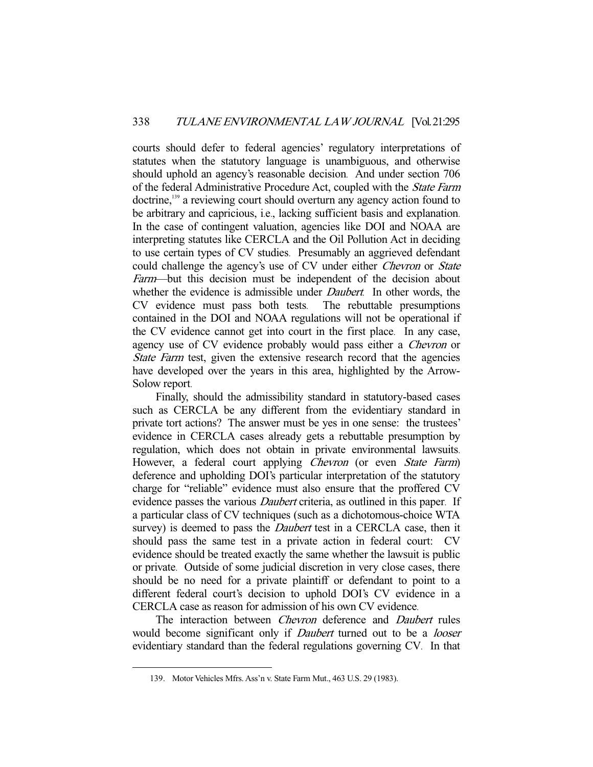courts should defer to federal agencies' regulatory interpretations of statutes when the statutory language is unambiguous, and otherwise should uphold an agency's reasonable decision. And under section 706 of the federal Administrative Procedure Act, coupled with the State Farm doctrine,<sup>139</sup> a reviewing court should overturn any agency action found to be arbitrary and capricious, i.e., lacking sufficient basis and explanation. In the case of contingent valuation, agencies like DOI and NOAA are interpreting statutes like CERCLA and the Oil Pollution Act in deciding to use certain types of CV studies. Presumably an aggrieved defendant could challenge the agency's use of CV under either *Chevron* or *State* Farm—but this decision must be independent of the decision about whether the evidence is admissible under *Daubert*. In other words, the CV evidence must pass both tests. The rebuttable presumptions contained in the DOI and NOAA regulations will not be operational if the CV evidence cannot get into court in the first place. In any case, agency use of CV evidence probably would pass either a Chevron or State Farm test, given the extensive research record that the agencies have developed over the years in this area, highlighted by the Arrow-Solow report.

Finally, should the admissibility standard in statutory-based cases such as CERCLA be any different from the evidentiary standard in private tort actions? The answer must be yes in one sense: the trustees' evidence in CERCLA cases already gets a rebuttable presumption by regulation, which does not obtain in private environmental lawsuits. However, a federal court applying *Chevron* (or even *State Farm*) deference and upholding DOI's particular interpretation of the statutory charge for "reliable" evidence must also ensure that the proffered CV evidence passes the various *Daubert* criteria, as outlined in this paper. If a particular class of CV techniques (such as a dichotomous-choice WTA survey) is deemed to pass the *Daubert* test in a CERCLA case, then it should pass the same test in a private action in federal court: CV evidence should be treated exactly the same whether the lawsuit is public or private. Outside of some judicial discretion in very close cases, there should be no need for a private plaintiff or defendant to point to a different federal court's decision to uphold DOI's CV evidence in a CERCLA case as reason for admission of his own CV evidence.

The interaction between *Chevron* deference and *Daubert* rules would become significant only if *Daubert* turned out to be a *looser* evidentiary standard than the federal regulations governing CV. In that

 <sup>139.</sup> Motor Vehicles Mfrs. Ass'n v. State Farm Mut., 463 U.S. 29 (1983).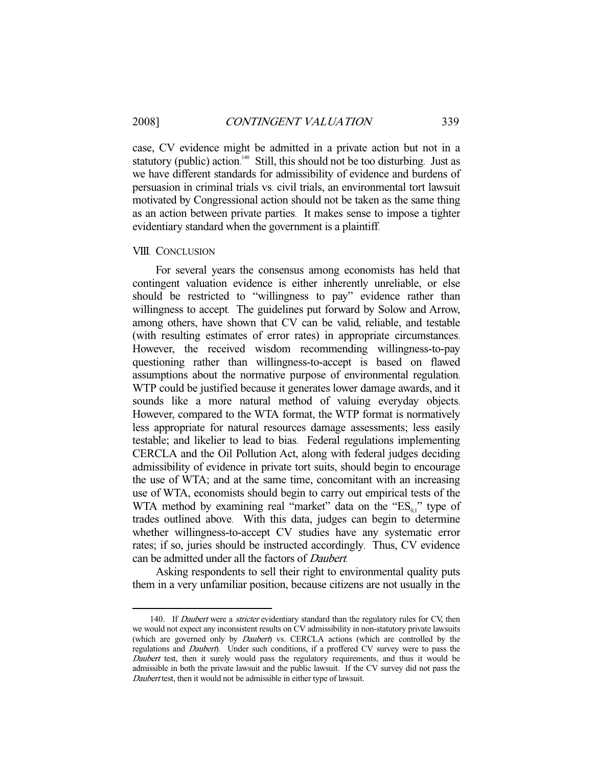-

case, CV evidence might be admitted in a private action but not in a statutory (public) action.<sup>140</sup> Still, this should not be too disturbing. Just as we have different standards for admissibility of evidence and burdens of persuasion in criminal trials vs. civil trials, an environmental tort lawsuit motivated by Congressional action should not be taken as the same thing as an action between private parties. It makes sense to impose a tighter evidentiary standard when the government is a plaintiff.

#### VIII. CONCLUSION

For several years the consensus among economists has held that contingent valuation evidence is either inherently unreliable, or else should be restricted to "willingness to pay" evidence rather than willingness to accept. The guidelines put forward by Solow and Arrow, among others, have shown that CV can be valid, reliable, and testable (with resulting estimates of error rates) in appropriate circumstances. However, the received wisdom recommending willingness-to-pay questioning rather than willingness-to-accept is based on flawed assumptions about the normative purpose of environmental regulation. WTP could be justified because it generates lower damage awards, and it sounds like a more natural method of valuing everyday objects. However, compared to the WTA format, the WTP format is normatively less appropriate for natural resources damage assessments; less easily testable; and likelier to lead to bias. Federal regulations implementing CERCLA and the Oil Pollution Act, along with federal judges deciding admissibility of evidence in private tort suits, should begin to encourage the use of WTA; and at the same time, concomitant with an increasing use of WTA, economists should begin to carry out empirical tests of the WTA method by examining real "market" data on the " $ES<sub>01</sub>$ " type of trades outlined above. With this data, judges can begin to determine whether willingness-to-accept CV studies have any systematic error rates; if so, juries should be instructed accordingly. Thus, CV evidence can be admitted under all the factors of Daubert.

Asking respondents to sell their right to environmental quality puts them in a very unfamiliar position, because citizens are not usually in the

<sup>140.</sup> If Daubert were a stricter evidentiary standard than the regulatory rules for CV, then we would not expect any inconsistent results on CV admissibility in non-statutory private lawsuits (which are governed only by *Daubert*) vs. CERCLA actions (which are controlled by the regulations and Daubert). Under such conditions, if a proffered CV survey were to pass the Daubert test, then it surely would pass the regulatory requirements, and thus it would be admissible in both the private lawsuit and the public lawsuit. If the CV survey did not pass the Daubert test, then it would not be admissible in either type of lawsuit.